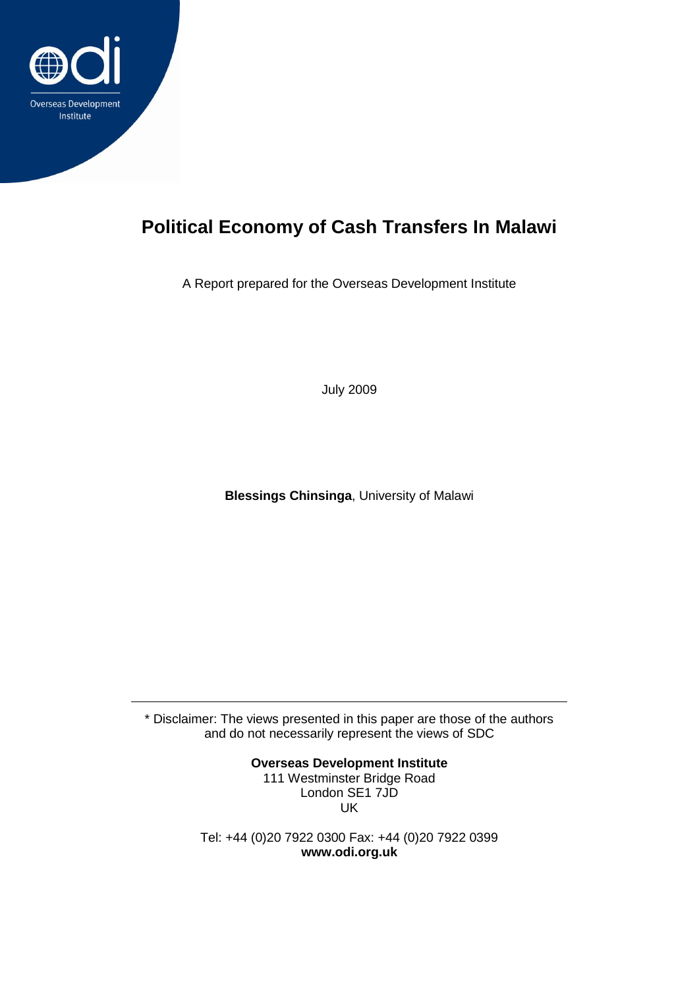

# **Political Economy of Cash Transfers In Malawi**

A Report prepared for the Overseas Development Institute

July 2009

**Blessings Chinsinga**, University of Malawi

\* Disclaimer: The views presented in this paper are those of the authors and do not necessarily represent the views of SDC

> **Overseas Development Institute** 111 Westminster Bridge Road London SE1 7JD UK

Tel: +44 (0)20 7922 0300 Fax: +44 (0)20 7922 0399 **www.odi.org.uk**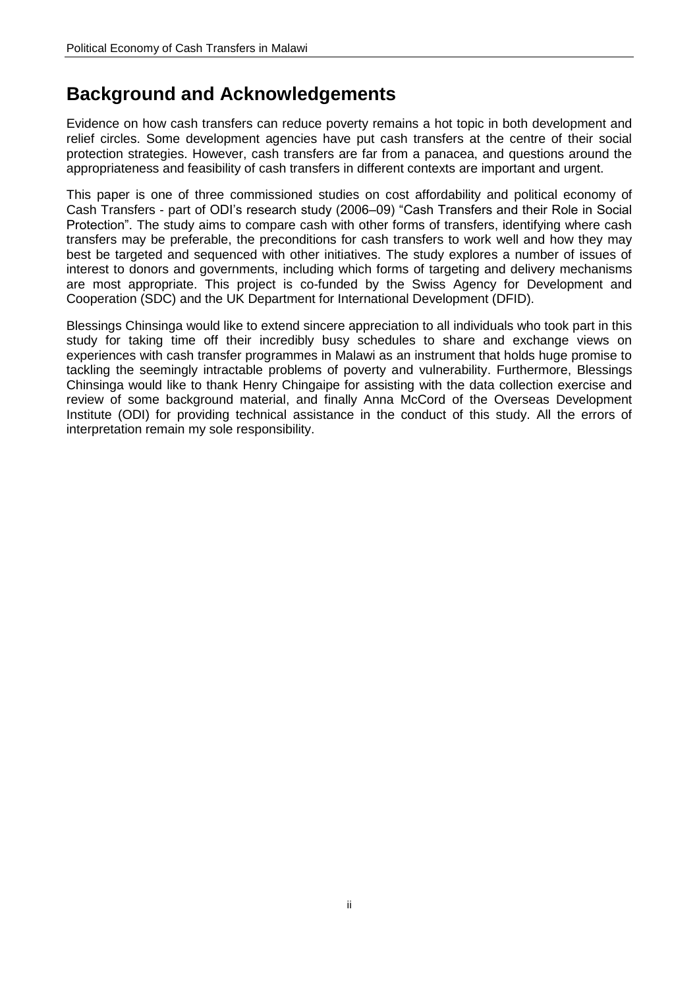## **Background and Acknowledgements**

Evidence on how cash transfers can reduce poverty remains a hot topic in both development and relief circles. Some development agencies have put cash transfers at the centre of their social protection strategies. However, cash transfers are far from a panacea, and questions around the appropriateness and feasibility of cash transfers in different contexts are important and urgent.

This paper is one of three commissioned studies on cost affordability and political economy of Cash Transfers - part of ODI"s research study (2006–09) "Cash Transfers and their Role in Social Protection". The study aims to compare cash with other forms of transfers, identifying where cash transfers may be preferable, the preconditions for cash transfers to work well and how they may best be targeted and sequenced with other initiatives. The study explores a number of issues of interest to donors and governments, including which forms of targeting and delivery mechanisms are most appropriate. This project is co-funded by the Swiss Agency for Development and Cooperation (SDC) and the UK Department for International Development (DFID).

Blessings Chinsinga would like to extend sincere appreciation to all individuals who took part in this study for taking time off their incredibly busy schedules to share and exchange views on experiences with cash transfer programmes in Malawi as an instrument that holds huge promise to tackling the seemingly intractable problems of poverty and vulnerability. Furthermore, Blessings Chinsinga would like to thank Henry Chingaipe for assisting with the data collection exercise and review of some background material, and finally Anna McCord of the Overseas Development Institute (ODI) for providing technical assistance in the conduct of this study. All the errors of interpretation remain my sole responsibility.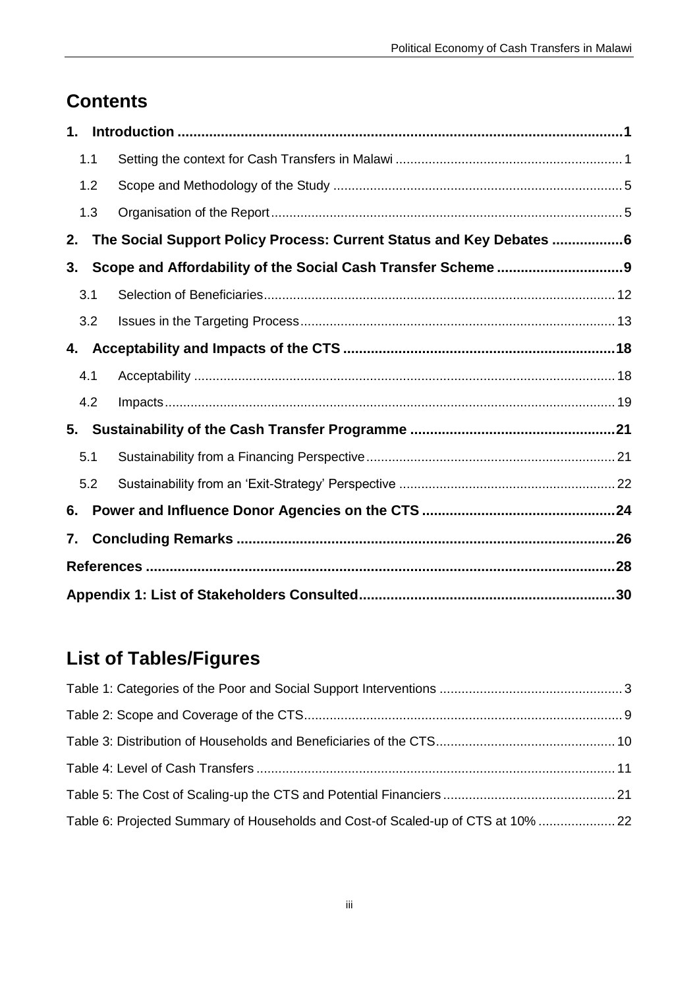# **Contents**

| 1. |     |                                                                     |  |
|----|-----|---------------------------------------------------------------------|--|
|    | 1.1 |                                                                     |  |
|    | 1.2 |                                                                     |  |
|    | 1.3 |                                                                     |  |
| 2. |     | The Social Support Policy Process: Current Status and Key Debates 6 |  |
| 3. |     |                                                                     |  |
|    | 3.1 |                                                                     |  |
|    | 3.2 |                                                                     |  |
| 4. |     |                                                                     |  |
|    | 4.1 |                                                                     |  |
|    | 4.2 |                                                                     |  |
| 5. |     |                                                                     |  |
|    | 5.1 |                                                                     |  |
|    | 5.2 |                                                                     |  |
| 6. |     |                                                                     |  |
| 7. |     |                                                                     |  |
|    |     |                                                                     |  |
|    |     |                                                                     |  |

# **List of Tables/Figures**

| Table 6: Projected Summary of Households and Cost-of Scaled-up of CTS at 10%  22 |  |
|----------------------------------------------------------------------------------|--|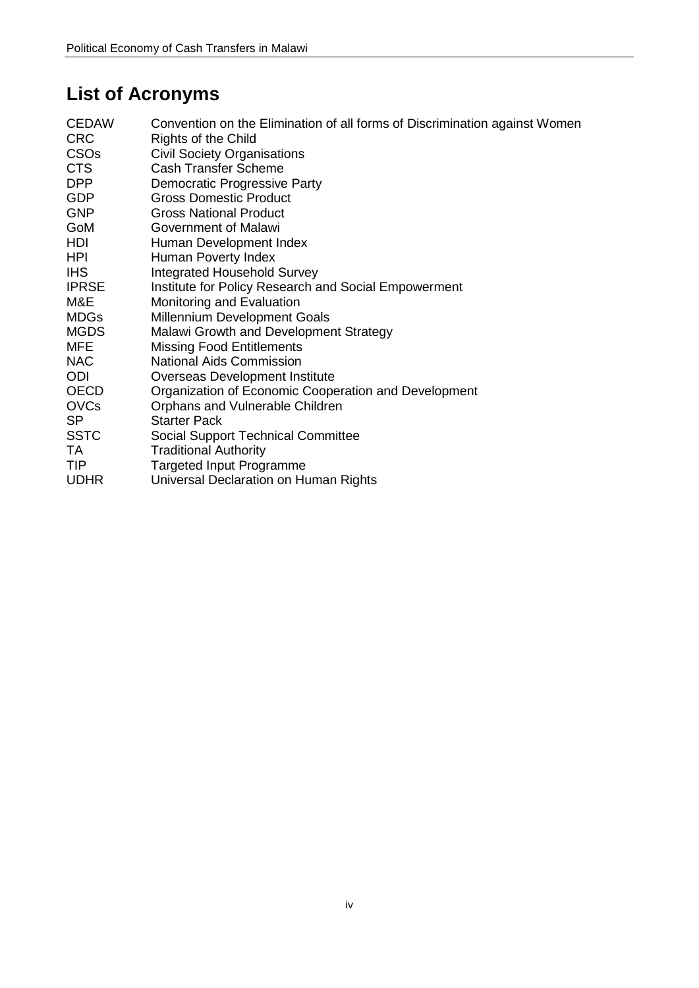# **List of Acronyms**

| <b>CEDAW</b><br><b>CRC</b><br><b>CSO<sub>s</sub></b><br>CTS<br><b>DPP</b><br><b>GDP</b><br><b>GNP</b><br>GoM<br>HDI<br>HPI<br>IHS<br><b>IPRSE</b><br>M&E<br>MDGs<br><b>MGDS</b><br>MFE<br>NAC<br>ODI<br><b>OECD</b><br><b>OVCs</b><br><b>SP</b> | Convention on the Elimination of all forms of Discrimination against Women<br><b>Rights of the Child</b><br><b>Civil Society Organisations</b><br><b>Cash Transfer Scheme</b><br>Democratic Progressive Party<br><b>Gross Domestic Product</b><br><b>Gross National Product</b><br>Government of Malawi<br>Human Development Index<br>Human Poverty Index<br>Integrated Household Survey<br>Institute for Policy Research and Social Empowerment<br>Monitoring and Evaluation<br><b>Millennium Development Goals</b><br>Malawi Growth and Development Strategy<br><b>Missing Food Entitlements</b><br><b>National Aids Commission</b><br>Overseas Development Institute<br>Organization of Economic Cooperation and Development<br>Orphans and Vulnerable Children<br><b>Starter Pack</b> |
|-------------------------------------------------------------------------------------------------------------------------------------------------------------------------------------------------------------------------------------------------|-------------------------------------------------------------------------------------------------------------------------------------------------------------------------------------------------------------------------------------------------------------------------------------------------------------------------------------------------------------------------------------------------------------------------------------------------------------------------------------------------------------------------------------------------------------------------------------------------------------------------------------------------------------------------------------------------------------------------------------------------------------------------------------------|
|                                                                                                                                                                                                                                                 |                                                                                                                                                                                                                                                                                                                                                                                                                                                                                                                                                                                                                                                                                                                                                                                           |
| <b>SSTC</b>                                                                                                                                                                                                                                     | <b>Social Support Technical Committee</b>                                                                                                                                                                                                                                                                                                                                                                                                                                                                                                                                                                                                                                                                                                                                                 |
| TA<br>TIP.                                                                                                                                                                                                                                      | <b>Traditional Authority</b><br><b>Targeted Input Programme</b>                                                                                                                                                                                                                                                                                                                                                                                                                                                                                                                                                                                                                                                                                                                           |
| <b>UDHR</b>                                                                                                                                                                                                                                     | Universal Declaration on Human Rights                                                                                                                                                                                                                                                                                                                                                                                                                                                                                                                                                                                                                                                                                                                                                     |
|                                                                                                                                                                                                                                                 |                                                                                                                                                                                                                                                                                                                                                                                                                                                                                                                                                                                                                                                                                                                                                                                           |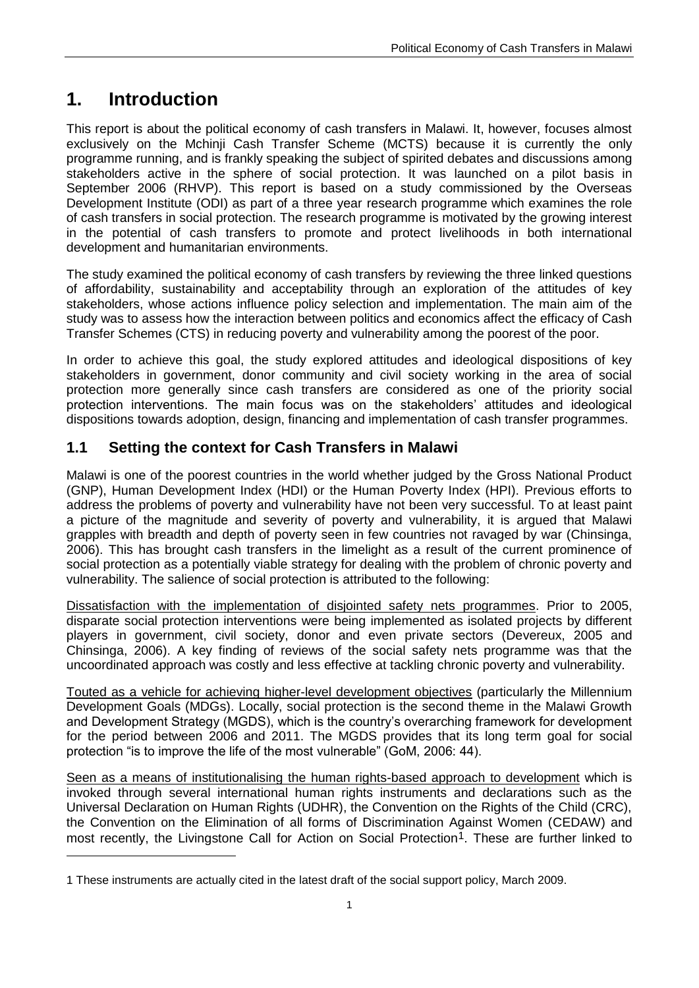# <span id="page-4-0"></span>**1. Introduction**

-

This report is about the political economy of cash transfers in Malawi. It, however, focuses almost exclusively on the Mchinji Cash Transfer Scheme (MCTS) because it is currently the only programme running, and is frankly speaking the subject of spirited debates and discussions among stakeholders active in the sphere of social protection. It was launched on a pilot basis in September 2006 (RHVP). This report is based on a study commissioned by the Overseas Development Institute (ODI) as part of a three year research programme which examines the role of cash transfers in social protection. The research programme is motivated by the growing interest in the potential of cash transfers to promote and protect livelihoods in both international development and humanitarian environments.

The study examined the political economy of cash transfers by reviewing the three linked questions of affordability, sustainability and acceptability through an exploration of the attitudes of key stakeholders, whose actions influence policy selection and implementation. The main aim of the study was to assess how the interaction between politics and economics affect the efficacy of Cash Transfer Schemes (CTS) in reducing poverty and vulnerability among the poorest of the poor.

In order to achieve this goal, the study explored attitudes and ideological dispositions of key stakeholders in government, donor community and civil society working in the area of social protection more generally since cash transfers are considered as one of the priority social protection interventions. The main focus was on the stakeholders" attitudes and ideological dispositions towards adoption, design, financing and implementation of cash transfer programmes.

## <span id="page-4-1"></span>**1.1 Setting the context for Cash Transfers in Malawi**

Malawi is one of the poorest countries in the world whether judged by the Gross National Product (GNP), Human Development Index (HDI) or the Human Poverty Index (HPI). Previous efforts to address the problems of poverty and vulnerability have not been very successful. To at least paint a picture of the magnitude and severity of poverty and vulnerability, it is argued that Malawi grapples with breadth and depth of poverty seen in few countries not ravaged by war (Chinsinga, 2006). This has brought cash transfers in the limelight as a result of the current prominence of social protection as a potentially viable strategy for dealing with the problem of chronic poverty and vulnerability. The salience of social protection is attributed to the following:

Dissatisfaction with the implementation of disjointed safety nets programmes. Prior to 2005, disparate social protection interventions were being implemented as isolated projects by different players in government, civil society, donor and even private sectors (Devereux, 2005 and Chinsinga, 2006). A key finding of reviews of the social safety nets programme was that the uncoordinated approach was costly and less effective at tackling chronic poverty and vulnerability.

Touted as a vehicle for achieving higher-level development objectives (particularly the Millennium Development Goals (MDGs). Locally, social protection is the second theme in the Malawi Growth and Development Strategy (MGDS), which is the country's overarching framework for development for the period between 2006 and 2011. The MGDS provides that its long term goal for social protection "is to improve the life of the most vulnerable" (GoM, 2006: 44).

Seen as a means of institutionalising the human rights-based approach to development which is invoked through several international human rights instruments and declarations such as the Universal Declaration on Human Rights (UDHR), the Convention on the Rights of the Child (CRC), the Convention on the Elimination of all forms of Discrimination Against Women (CEDAW) and most recently, the Livingstone Call for Action on Social Protection<sup>1</sup>. These are further linked to

<sup>1</sup> These instruments are actually cited in the latest draft of the social support policy, March 2009.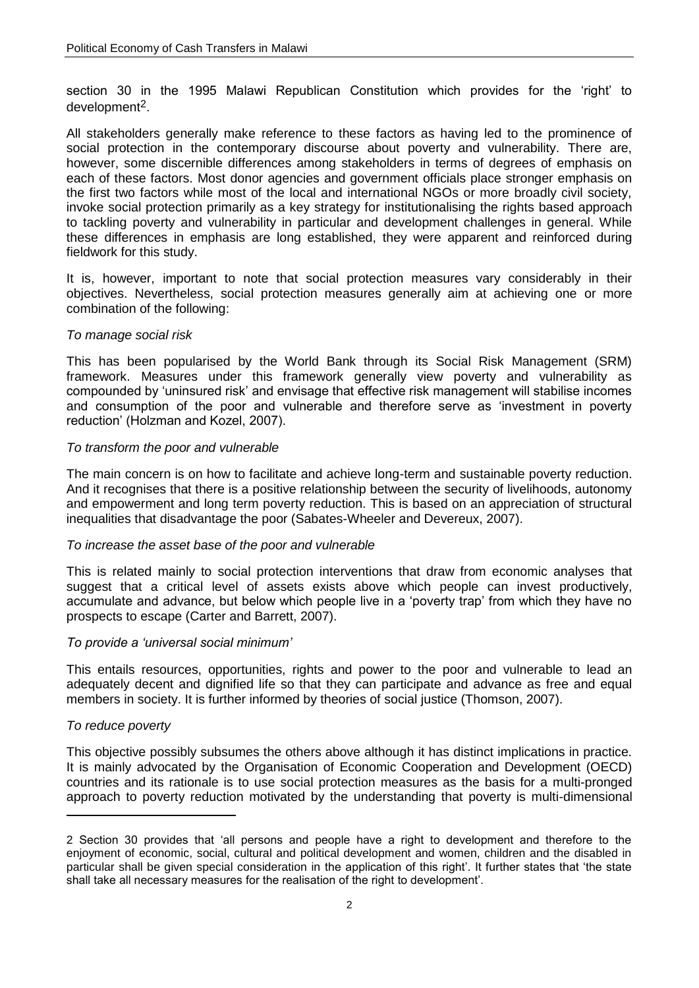section 30 in the 1995 Malawi Republican Constitution which provides for the 'right' to development2.

All stakeholders generally make reference to these factors as having led to the prominence of social protection in the contemporary discourse about poverty and vulnerability. There are, however, some discernible differences among stakeholders in terms of degrees of emphasis on each of these factors. Most donor agencies and government officials place stronger emphasis on the first two factors while most of the local and international NGOs or more broadly civil society, invoke social protection primarily as a key strategy for institutionalising the rights based approach to tackling poverty and vulnerability in particular and development challenges in general. While these differences in emphasis are long established, they were apparent and reinforced during fieldwork for this study.

It is, however, important to note that social protection measures vary considerably in their objectives. Nevertheless, social protection measures generally aim at achieving one or more combination of the following:

#### *To manage social risk*

This has been popularised by the World Bank through its Social Risk Management (SRM) framework. Measures under this framework generally view poverty and vulnerability as compounded by "uninsured risk" and envisage that effective risk management will stabilise incomes and consumption of the poor and vulnerable and therefore serve as "investment in poverty reduction" (Holzman and Kozel, 2007).

#### *To transform the poor and vulnerable*

The main concern is on how to facilitate and achieve long-term and sustainable poverty reduction. And it recognises that there is a positive relationship between the security of livelihoods, autonomy and empowerment and long term poverty reduction. This is based on an appreciation of structural inequalities that disadvantage the poor (Sabates-Wheeler and Devereux, 2007).

#### *To increase the asset base of the poor and vulnerable*

This is related mainly to social protection interventions that draw from economic analyses that suggest that a critical level of assets exists above which people can invest productively, accumulate and advance, but below which people live in a "poverty trap" from which they have no prospects to escape (Carter and Barrett, 2007).

#### *To provide a 'universal social minimum'*

This entails resources, opportunities, rights and power to the poor and vulnerable to lead an adequately decent and dignified life so that they can participate and advance as free and equal members in society. It is further informed by theories of social justice (Thomson, 2007).

#### *To reduce poverty*

-

This objective possibly subsumes the others above although it has distinct implications in practice. It is mainly advocated by the Organisation of Economic Cooperation and Development (OECD) countries and its rationale is to use social protection measures as the basis for a multi-pronged approach to poverty reduction motivated by the understanding that poverty is multi-dimensional

<sup>2</sup> Section 30 provides that "all persons and people have a right to development and therefore to the enjoyment of economic, social, cultural and political development and women, children and the disabled in particular shall be given special consideration in the application of this right". It further states that "the state shall take all necessary measures for the realisation of the right to development".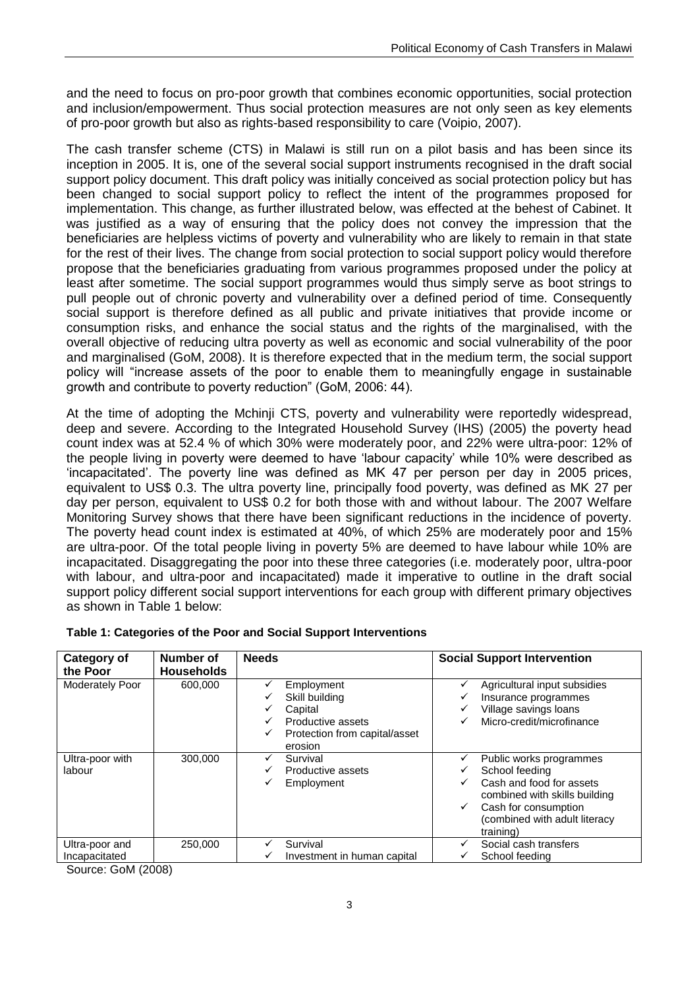and the need to focus on pro-poor growth that combines economic opportunities, social protection and inclusion/empowerment. Thus social protection measures are not only seen as key elements of pro-poor growth but also as rights-based responsibility to care (Voipio, 2007).

The cash transfer scheme (CTS) in Malawi is still run on a pilot basis and has been since its inception in 2005. It is, one of the several social support instruments recognised in the draft social support policy document. This draft policy was initially conceived as social protection policy but has been changed to social support policy to reflect the intent of the programmes proposed for implementation. This change, as further illustrated below, was effected at the behest of Cabinet. It was justified as a way of ensuring that the policy does not convey the impression that the beneficiaries are helpless victims of poverty and vulnerability who are likely to remain in that state for the rest of their lives. The change from social protection to social support policy would therefore propose that the beneficiaries graduating from various programmes proposed under the policy at least after sometime. The social support programmes would thus simply serve as boot strings to pull people out of chronic poverty and vulnerability over a defined period of time. Consequently social support is therefore defined as all public and private initiatives that provide income or consumption risks, and enhance the social status and the rights of the marginalised, with the overall objective of reducing ultra poverty as well as economic and social vulnerability of the poor and marginalised (GoM, 2008). It is therefore expected that in the medium term, the social support policy will "increase assets of the poor to enable them to meaningfully engage in sustainable growth and contribute to poverty reduction" (GoM, 2006: 44).

At the time of adopting the Mchinji CTS, poverty and vulnerability were reportedly widespread, deep and severe. According to the Integrated Household Survey (IHS) (2005) the poverty head count index was at 52.4 % of which 30% were moderately poor, and 22% were ultra-poor: 12% of the people living in poverty were deemed to have "labour capacity" while 10% were described as "incapacitated". The poverty line was defined as MK 47 per person per day in 2005 prices, equivalent to US\$ 0.3. The ultra poverty line, principally food poverty, was defined as MK 27 per day per person, equivalent to US\$ 0.2 for both those with and without labour. The 2007 Welfare Monitoring Survey shows that there have been significant reductions in the incidence of poverty. The poverty head count index is estimated at 40%, of which 25% are moderately poor and 15% are ultra-poor. Of the total people living in poverty 5% are deemed to have labour while 10% are incapacitated. Disaggregating the poor into these three categories (i.e. moderately poor, ultra-poor with labour, and ultra-poor and incapacitated) made it imperative to outline in the draft social support policy different social support interventions for each group with different primary objectives as shown in Table 1 below:

| Category of<br>the Poor         | Number of<br><b>Households</b> | <b>Needs</b>                                                                                                  | <b>Social Support Intervention</b>                                                                                                                                                |
|---------------------------------|--------------------------------|---------------------------------------------------------------------------------------------------------------|-----------------------------------------------------------------------------------------------------------------------------------------------------------------------------------|
| <b>Moderately Poor</b>          | 600,000                        | Employment<br>Skill building<br>Capital<br>Productive assets<br>Protection from capital/asset<br>✓<br>erosion | Agricultural input subsidies<br>Insurance programmes<br>Village savings loans<br>Micro-credit/microfinance                                                                        |
| Ultra-poor with<br>labour       | 300,000                        | Survival<br>$\checkmark$<br>Productive assets<br>Employment<br>✓                                              | Public works programmes<br>School feeding<br>Cash and food for assets<br>combined with skills building<br>Cash for consumption<br>✓<br>(combined with adult literacy<br>training) |
| Ultra-poor and<br>Incapacitated | 250,000                        | Survival<br>✓<br>Investment in human capital                                                                  | Social cash transfers<br>School feeding                                                                                                                                           |

#### <span id="page-6-0"></span>**Table 1: Categories of the Poor and Social Support Interventions**

Source: GoM (2008)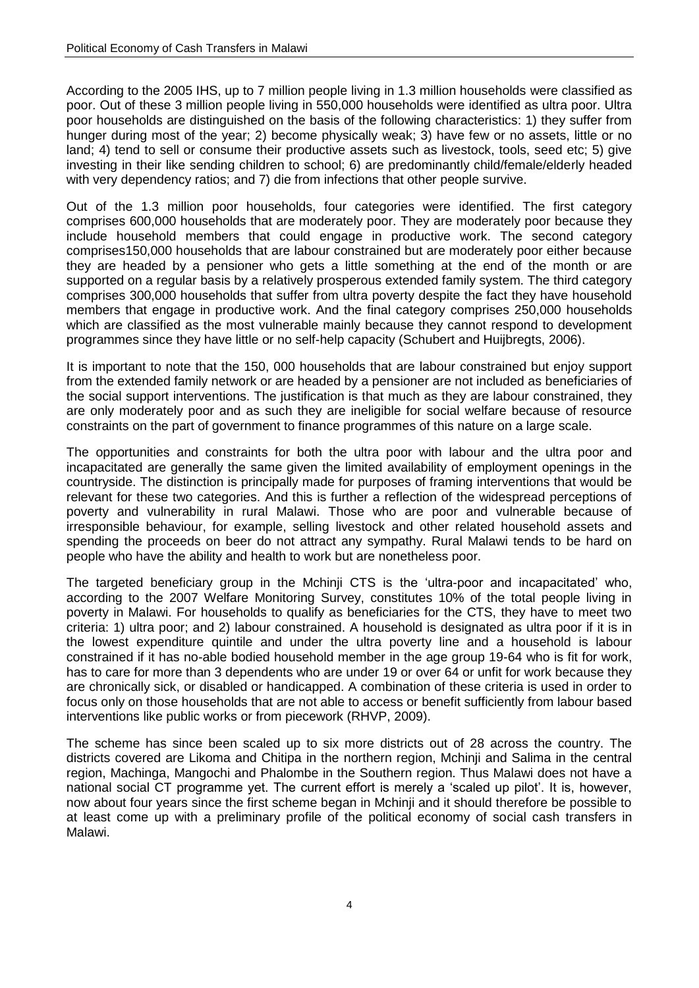According to the 2005 IHS, up to 7 million people living in 1.3 million households were classified as poor. Out of these 3 million people living in 550,000 households were identified as ultra poor. Ultra poor households are distinguished on the basis of the following characteristics: 1) they suffer from hunger during most of the year; 2) become physically weak; 3) have few or no assets, little or no land; 4) tend to sell or consume their productive assets such as livestock, tools, seed etc; 5) give investing in their like sending children to school; 6) are predominantly child/female/elderly headed with very dependency ratios; and 7) die from infections that other people survive.

Out of the 1.3 million poor households, four categories were identified. The first category comprises 600,000 households that are moderately poor. They are moderately poor because they include household members that could engage in productive work. The second category comprises150,000 households that are labour constrained but are moderately poor either because they are headed by a pensioner who gets a little something at the end of the month or are supported on a regular basis by a relatively prosperous extended family system. The third category comprises 300,000 households that suffer from ultra poverty despite the fact they have household members that engage in productive work. And the final category comprises 250,000 households which are classified as the most vulnerable mainly because they cannot respond to development programmes since they have little or no self-help capacity (Schubert and Huijbregts, 2006).

It is important to note that the 150, 000 households that are labour constrained but enjoy support from the extended family network or are headed by a pensioner are not included as beneficiaries of the social support interventions. The justification is that much as they are labour constrained, they are only moderately poor and as such they are ineligible for social welfare because of resource constraints on the part of government to finance programmes of this nature on a large scale.

The opportunities and constraints for both the ultra poor with labour and the ultra poor and incapacitated are generally the same given the limited availability of employment openings in the countryside. The distinction is principally made for purposes of framing interventions that would be relevant for these two categories. And this is further a reflection of the widespread perceptions of poverty and vulnerability in rural Malawi. Those who are poor and vulnerable because of irresponsible behaviour, for example, selling livestock and other related household assets and spending the proceeds on beer do not attract any sympathy. Rural Malawi tends to be hard on people who have the ability and health to work but are nonetheless poor.

The targeted beneficiary group in the Mchinji CTS is the "ultra-poor and incapacitated" who, according to the 2007 Welfare Monitoring Survey, constitutes 10% of the total people living in poverty in Malawi. For households to qualify as beneficiaries for the CTS, they have to meet two criteria: 1) ultra poor; and 2) labour constrained. A household is designated as ultra poor if it is in the lowest expenditure quintile and under the ultra poverty line and a household is labour constrained if it has no-able bodied household member in the age group 19-64 who is fit for work, has to care for more than 3 dependents who are under 19 or over 64 or unfit for work because they are chronically sick, or disabled or handicapped. A combination of these criteria is used in order to focus only on those households that are not able to access or benefit sufficiently from labour based interventions like public works or from piecework (RHVP, 2009).

The scheme has since been scaled up to six more districts out of 28 across the country. The districts covered are Likoma and Chitipa in the northern region, Mchinji and Salima in the central region, Machinga, Mangochi and Phalombe in the Southern region. Thus Malawi does not have a national social CT programme yet. The current effort is merely a "scaled up pilot". It is, however, now about four years since the first scheme began in Mchinji and it should therefore be possible to at least come up with a preliminary profile of the political economy of social cash transfers in Malawi.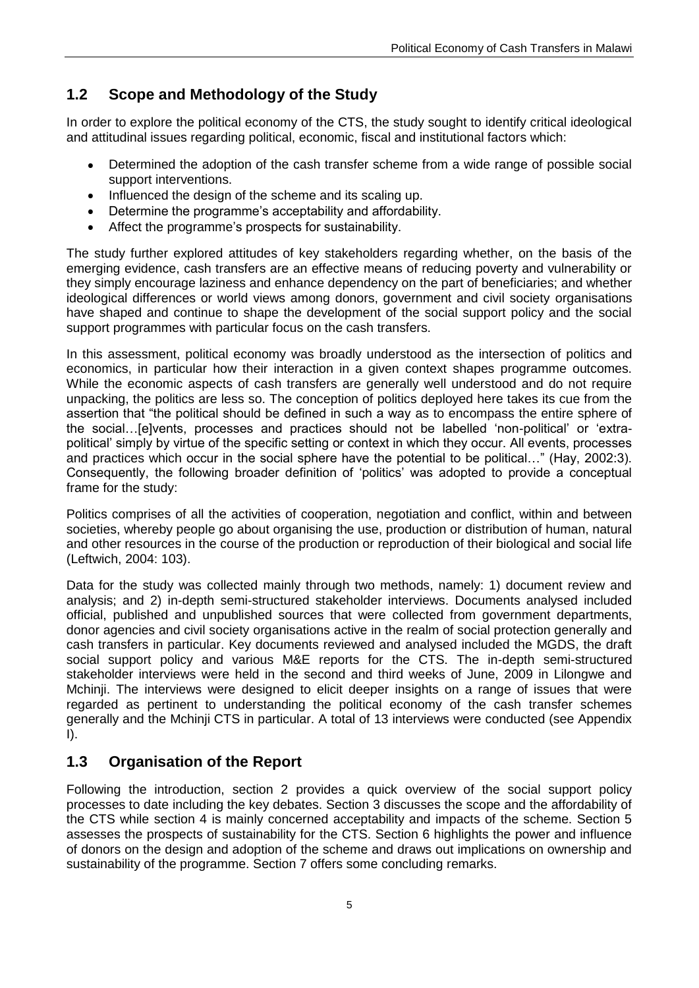## <span id="page-8-0"></span>**1.2 Scope and Methodology of the Study**

In order to explore the political economy of the CTS, the study sought to identify critical ideological and attitudinal issues regarding political, economic, fiscal and institutional factors which:

- Determined the adoption of the cash transfer scheme from a wide range of possible social  $\bullet$ support interventions.
- Influenced the design of the scheme and its scaling up.
- Determine the programme's acceptability and affordability.  $\bullet$
- Affect the programme's prospects for sustainability.

The study further explored attitudes of key stakeholders regarding whether, on the basis of the emerging evidence, cash transfers are an effective means of reducing poverty and vulnerability or they simply encourage laziness and enhance dependency on the part of beneficiaries; and whether ideological differences or world views among donors, government and civil society organisations have shaped and continue to shape the development of the social support policy and the social support programmes with particular focus on the cash transfers.

In this assessment, political economy was broadly understood as the intersection of politics and economics, in particular how their interaction in a given context shapes programme outcomes. While the economic aspects of cash transfers are generally well understood and do not require unpacking, the politics are less so. The conception of politics deployed here takes its cue from the assertion that "the political should be defined in such a way as to encompass the entire sphere of the social…[e]vents, processes and practices should not be labelled "non-political" or "extrapolitical" simply by virtue of the specific setting or context in which they occur. All events, processes and practices which occur in the social sphere have the potential to be political…" (Hay, 2002:3). Consequently, the following broader definition of "politics" was adopted to provide a conceptual frame for the study:

Politics comprises of all the activities of cooperation, negotiation and conflict, within and between societies, whereby people go about organising the use, production or distribution of human, natural and other resources in the course of the production or reproduction of their biological and social life (Leftwich, 2004: 103).

Data for the study was collected mainly through two methods, namely: 1) document review and analysis; and 2) in-depth semi-structured stakeholder interviews. Documents analysed included official, published and unpublished sources that were collected from government departments, donor agencies and civil society organisations active in the realm of social protection generally and cash transfers in particular. Key documents reviewed and analysed included the MGDS, the draft social support policy and various M&E reports for the CTS. The in-depth semi-structured stakeholder interviews were held in the second and third weeks of June, 2009 in Lilongwe and Mchinji. The interviews were designed to elicit deeper insights on a range of issues that were regarded as pertinent to understanding the political economy of the cash transfer schemes generally and the Mchinji CTS in particular. A total of 13 interviews were conducted (see Appendix I).

## <span id="page-8-1"></span>**1.3 Organisation of the Report**

Following the introduction, section 2 provides a quick overview of the social support policy processes to date including the key debates. Section 3 discusses the scope and the affordability of the CTS while section 4 is mainly concerned acceptability and impacts of the scheme. Section 5 assesses the prospects of sustainability for the CTS. Section 6 highlights the power and influence of donors on the design and adoption of the scheme and draws out implications on ownership and sustainability of the programme. Section 7 offers some concluding remarks.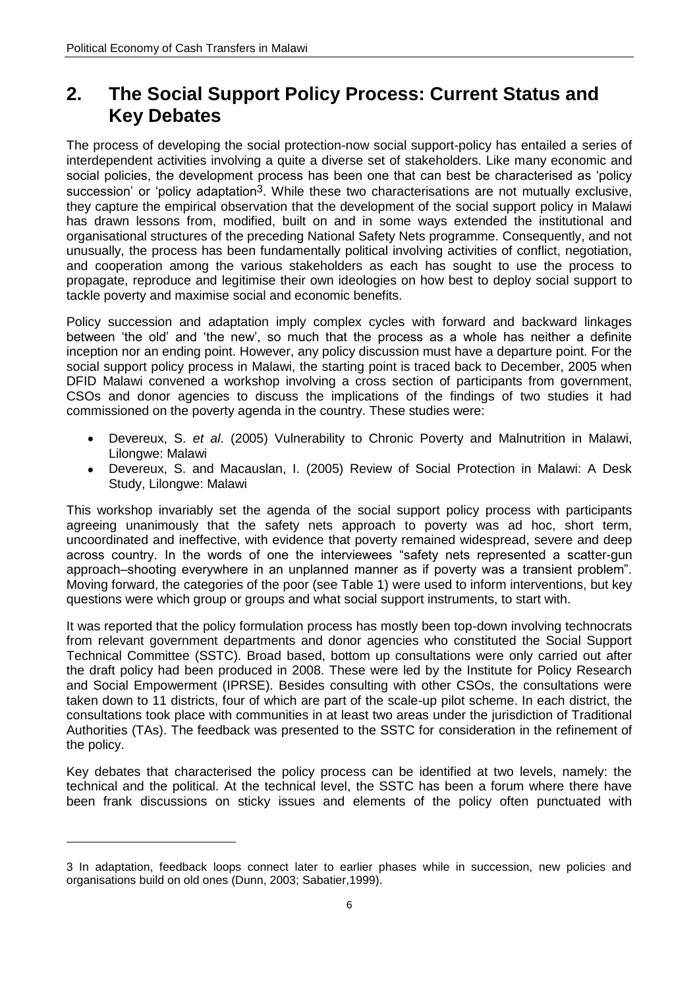-

## <span id="page-9-0"></span>**2. The Social Support Policy Process: Current Status and Key Debates**

The process of developing the social protection-now social support-policy has entailed a series of interdependent activities involving a quite a diverse set of stakeholders. Like many economic and social policies, the development process has been one that can best be characterised as "policy succession' or 'policy adaptation<sup>3</sup>. While these two characterisations are not mutually exclusive, they capture the empirical observation that the development of the social support policy in Malawi has drawn lessons from, modified, built on and in some ways extended the institutional and organisational structures of the preceding National Safety Nets programme. Consequently, and not unusually, the process has been fundamentally political involving activities of conflict, negotiation, and cooperation among the various stakeholders as each has sought to use the process to propagate, reproduce and legitimise their own ideologies on how best to deploy social support to tackle poverty and maximise social and economic benefits.

Policy succession and adaptation imply complex cycles with forward and backward linkages between "the old" and "the new", so much that the process as a whole has neither a definite inception nor an ending point. However, any policy discussion must have a departure point. For the social support policy process in Malawi, the starting point is traced back to December, 2005 when DFID Malawi convened a workshop involving a cross section of participants from government, CSOs and donor agencies to discuss the implications of the findings of two studies it had commissioned on the poverty agenda in the country. These studies were:

- Devereux, S. *et al*. (2005) Vulnerability to Chronic Poverty and Malnutrition in Malawi, Lilongwe: Malawi
- Devereux, S. and Macauslan, I. (2005) Review of Social Protection in Malawi: A Desk  $\bullet$ Study, Lilongwe: Malawi

This workshop invariably set the agenda of the social support policy process with participants agreeing unanimously that the safety nets approach to poverty was ad hoc, short term, uncoordinated and ineffective, with evidence that poverty remained widespread, severe and deep across country. In the words of one the interviewees "safety nets represented a scatter-gun approach–shooting everywhere in an unplanned manner as if poverty was a transient problem". Moving forward, the categories of the poor (see Table 1) were used to inform interventions, but key questions were which group or groups and what social support instruments, to start with.

It was reported that the policy formulation process has mostly been top-down involving technocrats from relevant government departments and donor agencies who constituted the Social Support Technical Committee (SSTC). Broad based, bottom up consultations were only carried out after the draft policy had been produced in 2008. These were led by the Institute for Policy Research and Social Empowerment (IPRSE). Besides consulting with other CSOs, the consultations were taken down to 11 districts, four of which are part of the scale-up pilot scheme. In each district, the consultations took place with communities in at least two areas under the jurisdiction of Traditional Authorities (TAs). The feedback was presented to the SSTC for consideration in the refinement of the policy.

Key debates that characterised the policy process can be identified at two levels, namely: the technical and the political. At the technical level, the SSTC has been a forum where there have been frank discussions on sticky issues and elements of the policy often punctuated with

<sup>3</sup> In adaptation, feedback loops connect later to earlier phases while in succession, new policies and organisations build on old ones (Dunn, 2003; Sabatier,1999).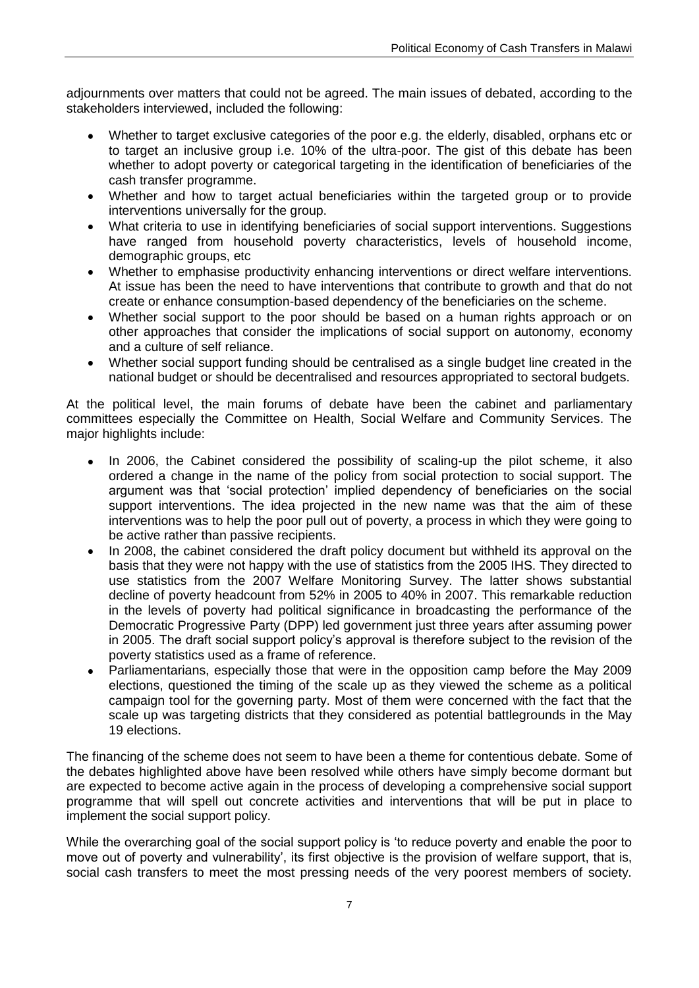adjournments over matters that could not be agreed. The main issues of debated, according to the stakeholders interviewed, included the following:

- Whether to target exclusive categories of the poor e.g. the elderly, disabled, orphans etc or to target an inclusive group i.e. 10% of the ultra-poor. The gist of this debate has been whether to adopt poverty or categorical targeting in the identification of beneficiaries of the cash transfer programme.
- Whether and how to target actual beneficiaries within the targeted group or to provide interventions universally for the group.
- What criteria to use in identifying beneficiaries of social support interventions. Suggestions have ranged from household poverty characteristics, levels of household income, demographic groups, etc
- Whether to emphasise productivity enhancing interventions or direct welfare interventions. At issue has been the need to have interventions that contribute to growth and that do not create or enhance consumption-based dependency of the beneficiaries on the scheme.
- Whether social support to the poor should be based on a human rights approach or on other approaches that consider the implications of social support on autonomy, economy and a culture of self reliance.
- Whether social support funding should be centralised as a single budget line created in the  $\bullet$ national budget or should be decentralised and resources appropriated to sectoral budgets.

At the political level, the main forums of debate have been the cabinet and parliamentary committees especially the Committee on Health, Social Welfare and Community Services. The major highlights include:

- In 2006, the Cabinet considered the possibility of scaling-up the pilot scheme, it also ordered a change in the name of the policy from social protection to social support. The argument was that "social protection" implied dependency of beneficiaries on the social support interventions. The idea projected in the new name was that the aim of these interventions was to help the poor pull out of poverty, a process in which they were going to be active rather than passive recipients.
- In 2008, the cabinet considered the draft policy document but withheld its approval on the basis that they were not happy with the use of statistics from the 2005 IHS. They directed to use statistics from the 2007 Welfare Monitoring Survey. The latter shows substantial decline of poverty headcount from 52% in 2005 to 40% in 2007. This remarkable reduction in the levels of poverty had political significance in broadcasting the performance of the Democratic Progressive Party (DPP) led government just three years after assuming power in 2005. The draft social support policy"s approval is therefore subject to the revision of the poverty statistics used as a frame of reference.
- Parliamentarians, especially those that were in the opposition camp before the May 2009 elections, questioned the timing of the scale up as they viewed the scheme as a political campaign tool for the governing party. Most of them were concerned with the fact that the scale up was targeting districts that they considered as potential battlegrounds in the May 19 elections.

The financing of the scheme does not seem to have been a theme for contentious debate. Some of the debates highlighted above have been resolved while others have simply become dormant but are expected to become active again in the process of developing a comprehensive social support programme that will spell out concrete activities and interventions that will be put in place to implement the social support policy.

While the overarching goal of the social support policy is "to reduce poverty and enable the poor to move out of poverty and vulnerability', its first objective is the provision of welfare support, that is, social cash transfers to meet the most pressing needs of the very poorest members of society.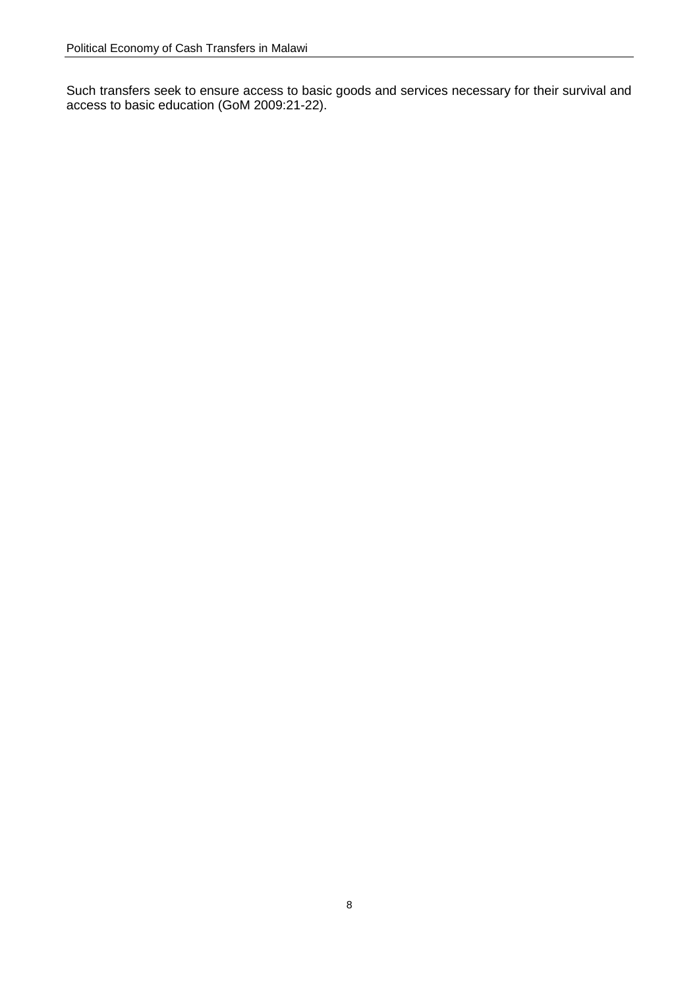Such transfers seek to ensure access to basic goods and services necessary for their survival and access to basic education (GoM 2009:21-22).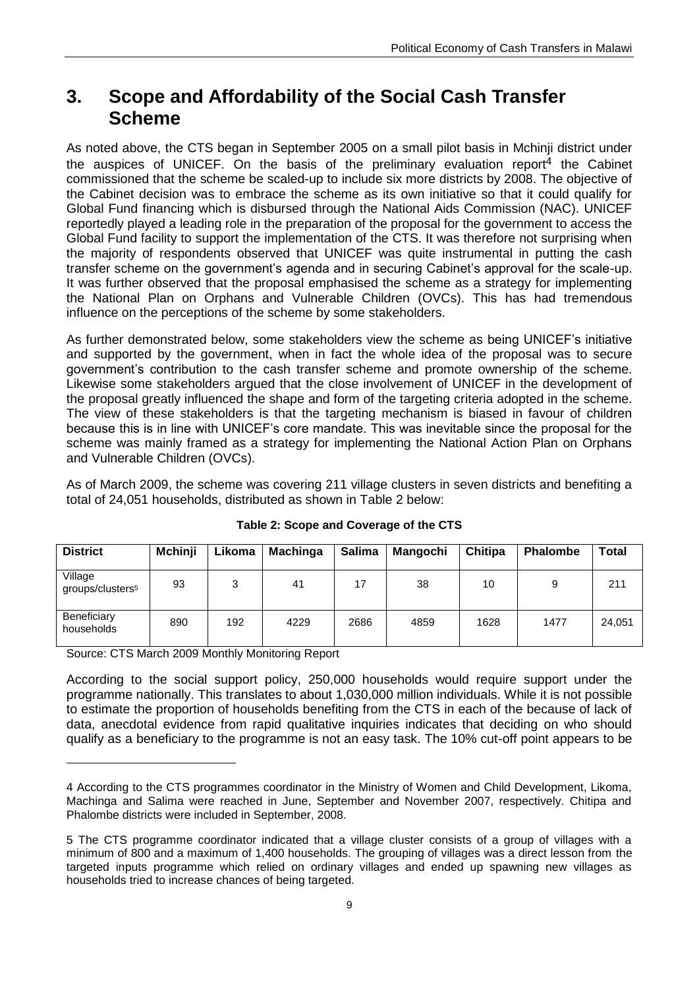## <span id="page-12-0"></span>**3. Scope and Affordability of the Social Cash Transfer Scheme**

As noted above, the CTS began in September 2005 on a small pilot basis in Mchinji district under the auspices of UNICEF. On the basis of the preliminary evaluation report<sup>4</sup> the Cabinet commissioned that the scheme be scaled-up to include six more districts by 2008. The objective of the Cabinet decision was to embrace the scheme as its own initiative so that it could qualify for Global Fund financing which is disbursed through the National Aids Commission (NAC). UNICEF reportedly played a leading role in the preparation of the proposal for the government to access the Global Fund facility to support the implementation of the CTS. It was therefore not surprising when the majority of respondents observed that UNICEF was quite instrumental in putting the cash transfer scheme on the government's agenda and in securing Cabinet's approval for the scale-up. It was further observed that the proposal emphasised the scheme as a strategy for implementing the National Plan on Orphans and Vulnerable Children (OVCs). This has had tremendous influence on the perceptions of the scheme by some stakeholders.

As further demonstrated below, some stakeholders view the scheme as being UNICEF"s initiative and supported by the government, when in fact the whole idea of the proposal was to secure government"s contribution to the cash transfer scheme and promote ownership of the scheme. Likewise some stakeholders argued that the close involvement of UNICEF in the development of the proposal greatly influenced the shape and form of the targeting criteria adopted in the scheme. The view of these stakeholders is that the targeting mechanism is biased in favour of children because this is in line with UNICEF"s core mandate. This was inevitable since the proposal for the scheme was mainly framed as a strategy for implementing the National Action Plan on Orphans and Vulnerable Children (OVCs).

As of March 2009, the scheme was covering 211 village clusters in seven districts and benefiting a total of 24,051 households, distributed as shown in Table 2 below:

<span id="page-12-1"></span>

| <b>District</b>                         | <b>Mchinji</b> | Likoma | <b>Machinga</b> | <b>Salima</b> | <b>Mangochi</b> | Chitipa | Phalombe | <b>Total</b> |
|-----------------------------------------|----------------|--------|-----------------|---------------|-----------------|---------|----------|--------------|
| Village<br>groups/clusters <sup>5</sup> | 93             | 3      | 41              |               | 38              | 10      | 9        | 211          |
| Beneficiary<br>households               | 890            | 192    | 4229            | 2686          | 4859            | 1628    | 1477     | 24,051       |

**Table 2: Scope and Coverage of the CTS**

Source: CTS March 2009 Monthly Monitoring Report

-

According to the social support policy, 250,000 households would require support under the programme nationally. This translates to about 1,030,000 million individuals. While it is not possible to estimate the proportion of households benefiting from the CTS in each of the because of lack of data, anecdotal evidence from rapid qualitative inquiries indicates that deciding on who should qualify as a beneficiary to the programme is not an easy task. The 10% cut-off point appears to be

<sup>4</sup> According to the CTS programmes coordinator in the Ministry of Women and Child Development, Likoma, Machinga and Salima were reached in June, September and November 2007, respectively. Chitipa and Phalombe districts were included in September, 2008.

<sup>5</sup> The CTS programme coordinator indicated that a village cluster consists of a group of villages with a minimum of 800 and a maximum of 1,400 households. The grouping of villages was a direct lesson from the targeted inputs programme which relied on ordinary villages and ended up spawning new villages as households tried to increase chances of being targeted.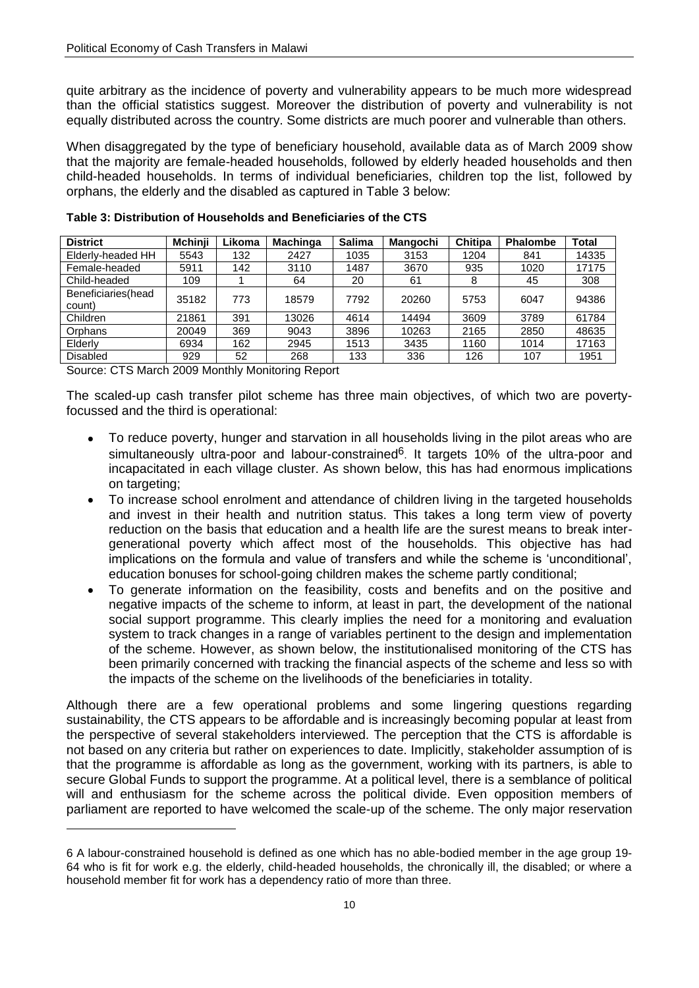quite arbitrary as the incidence of poverty and vulnerability appears to be much more widespread than the official statistics suggest. Moreover the distribution of poverty and vulnerability is not equally distributed across the country. Some districts are much poorer and vulnerable than others.

When disaggregated by the type of beneficiary household, available data as of March 2009 show that the majority are female-headed households, followed by elderly headed households and then child-headed households. In terms of individual beneficiaries, children top the list, followed by orphans, the elderly and the disabled as captured in Table 3 below:

| <b>District</b>              | <b>Mchinii</b> | Likoma | <b>Machinga</b> | <b>Salima</b> | Mangochi | <b>Chitipa</b> | <b>Phalombe</b> | <b>Total</b> |
|------------------------------|----------------|--------|-----------------|---------------|----------|----------------|-----------------|--------------|
| Elderly-headed HH            | 5543           | 132    | 2427            | 1035          | 3153     | 1204           | 841             | 14335        |
| Female-headed                | 5911           | 142    | 3110            | 1487          | 3670     | 935            | 1020            | 17175        |
| Child-headed                 | 109            |        | 64              | 20            | 61       | 8              | 45              | 308          |
| Beneficiaries(head<br>count) | 35182          | 773    | 18579           | 7792          | 20260    | 5753           | 6047            | 94386        |
| Children                     | 21861          | 391    | 13026           | 4614          | 14494    | 3609           | 3789            | 61784        |
| Orphans                      | 20049          | 369    | 9043            | 3896          | 10263    | 2165           | 2850            | 48635        |
| Elderly                      | 6934           | 162    | 2945            | 1513          | 3435     | 1160           | 1014            | 17163        |
| <b>Disabled</b>              | 929            | 52     | 268             | 133           | 336      | 126            | 107             | 1951         |

<span id="page-13-0"></span>**Table 3: Distribution of Households and Beneficiaries of the CTS**

Source: CTS March 2009 Monthly Monitoring Report

-

The scaled-up cash transfer pilot scheme has three main objectives, of which two are povertyfocussed and the third is operational:

- To reduce poverty, hunger and starvation in all households living in the pilot areas who are simultaneously ultra-poor and labour-constrained<sup>6</sup>. It targets 10% of the ultra-poor and incapacitated in each village cluster. As shown below, this has had enormous implications on targeting;
- To increase school enrolment and attendance of children living in the targeted households and invest in their health and nutrition status. This takes a long term view of poverty reduction on the basis that education and a health life are the surest means to break intergenerational poverty which affect most of the households. This objective has had implications on the formula and value of transfers and while the scheme is "unconditional", education bonuses for school-going children makes the scheme partly conditional;
- To generate information on the feasibility, costs and benefits and on the positive and negative impacts of the scheme to inform, at least in part, the development of the national social support programme. This clearly implies the need for a monitoring and evaluation system to track changes in a range of variables pertinent to the design and implementation of the scheme. However, as shown below, the institutionalised monitoring of the CTS has been primarily concerned with tracking the financial aspects of the scheme and less so with the impacts of the scheme on the livelihoods of the beneficiaries in totality.

Although there are a few operational problems and some lingering questions regarding sustainability, the CTS appears to be affordable and is increasingly becoming popular at least from the perspective of several stakeholders interviewed. The perception that the CTS is affordable is not based on any criteria but rather on experiences to date. Implicitly, stakeholder assumption of is that the programme is affordable as long as the government, working with its partners, is able to secure Global Funds to support the programme. At a political level, there is a semblance of political will and enthusiasm for the scheme across the political divide. Even opposition members of parliament are reported to have welcomed the scale-up of the scheme. The only major reservation

<sup>6</sup> A labour-constrained household is defined as one which has no able-bodied member in the age group 19- 64 who is fit for work e.g. the elderly, child-headed households, the chronically ill, the disabled; or where a household member fit for work has a dependency ratio of more than three.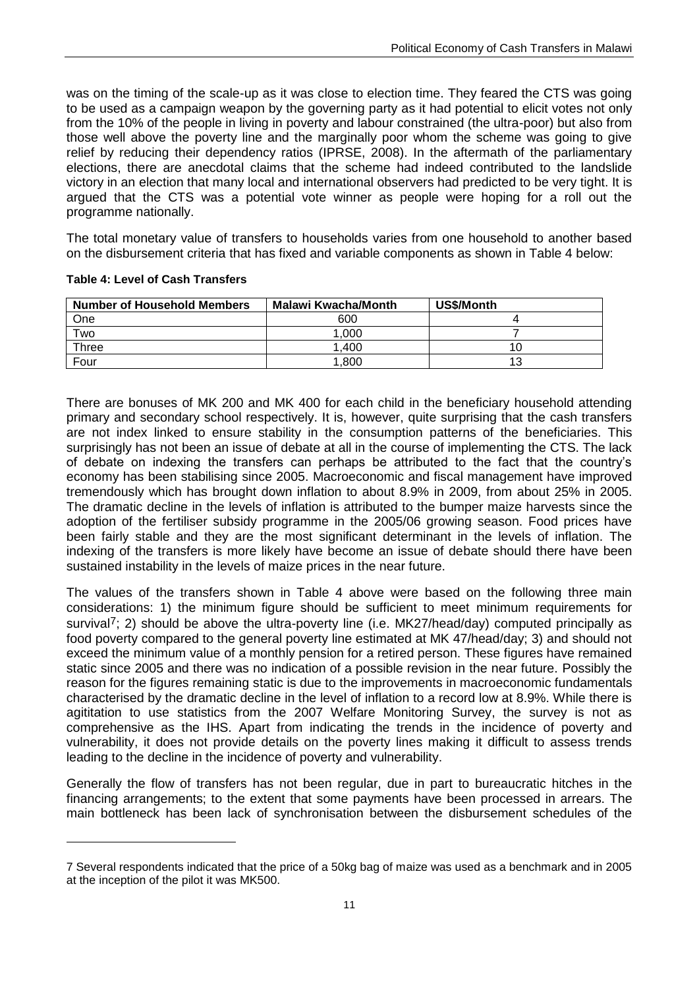was on the timing of the scale-up as it was close to election time. They feared the CTS was going to be used as a campaign weapon by the governing party as it had potential to elicit votes not only from the 10% of the people in living in poverty and labour constrained (the ultra-poor) but also from those well above the poverty line and the marginally poor whom the scheme was going to give relief by reducing their dependency ratios (IPRSE, 2008). In the aftermath of the parliamentary elections, there are anecdotal claims that the scheme had indeed contributed to the landslide victory in an election that many local and international observers had predicted to be very tight. It is argued that the CTS was a potential vote winner as people were hoping for a roll out the programme nationally.

The total monetary value of transfers to households varies from one household to another based on the disbursement criteria that has fixed and variable components as shown in Table 4 below:

<span id="page-14-0"></span>

-

| <b>Number of Household Members</b> | <b>Malawi Kwacha/Month</b> | US\$/Month |
|------------------------------------|----------------------------|------------|
| One                                | 600                        |            |
| Two                                | 1.000                      |            |
| $\tau$ hree                        | 1.400                      | 10         |
| Four                               | 1.800                      | 13         |

There are bonuses of MK 200 and MK 400 for each child in the beneficiary household attending primary and secondary school respectively. It is, however, quite surprising that the cash transfers are not index linked to ensure stability in the consumption patterns of the beneficiaries. This surprisingly has not been an issue of debate at all in the course of implementing the CTS. The lack of debate on indexing the transfers can perhaps be attributed to the fact that the country"s economy has been stabilising since 2005. Macroeconomic and fiscal management have improved tremendously which has brought down inflation to about 8.9% in 2009, from about 25% in 2005. The dramatic decline in the levels of inflation is attributed to the bumper maize harvests since the adoption of the fertiliser subsidy programme in the 2005/06 growing season. Food prices have been fairly stable and they are the most significant determinant in the levels of inflation. The indexing of the transfers is more likely have become an issue of debate should there have been sustained instability in the levels of maize prices in the near future.

The values of the transfers shown in Table 4 above were based on the following three main considerations: 1) the minimum figure should be sufficient to meet minimum requirements for survival<sup>7</sup>; 2) should be above the ultra-poverty line (i.e. MK27/head/day) computed principally as food poverty compared to the general poverty line estimated at MK 47/head/day; 3) and should not exceed the minimum value of a monthly pension for a retired person. These figures have remained static since 2005 and there was no indication of a possible revision in the near future. Possibly the reason for the figures remaining static is due to the improvements in macroeconomic fundamentals characterised by the dramatic decline in the level of inflation to a record low at 8.9%. While there is agititation to use statistics from the 2007 Welfare Monitoring Survey, the survey is not as comprehensive as the IHS. Apart from indicating the trends in the incidence of poverty and vulnerability, it does not provide details on the poverty lines making it difficult to assess trends leading to the decline in the incidence of poverty and vulnerability.

Generally the flow of transfers has not been regular, due in part to bureaucratic hitches in the financing arrangements; to the extent that some payments have been processed in arrears. The main bottleneck has been lack of synchronisation between the disbursement schedules of the

<sup>7</sup> Several respondents indicated that the price of a 50kg bag of maize was used as a benchmark and in 2005 at the inception of the pilot it was MK500.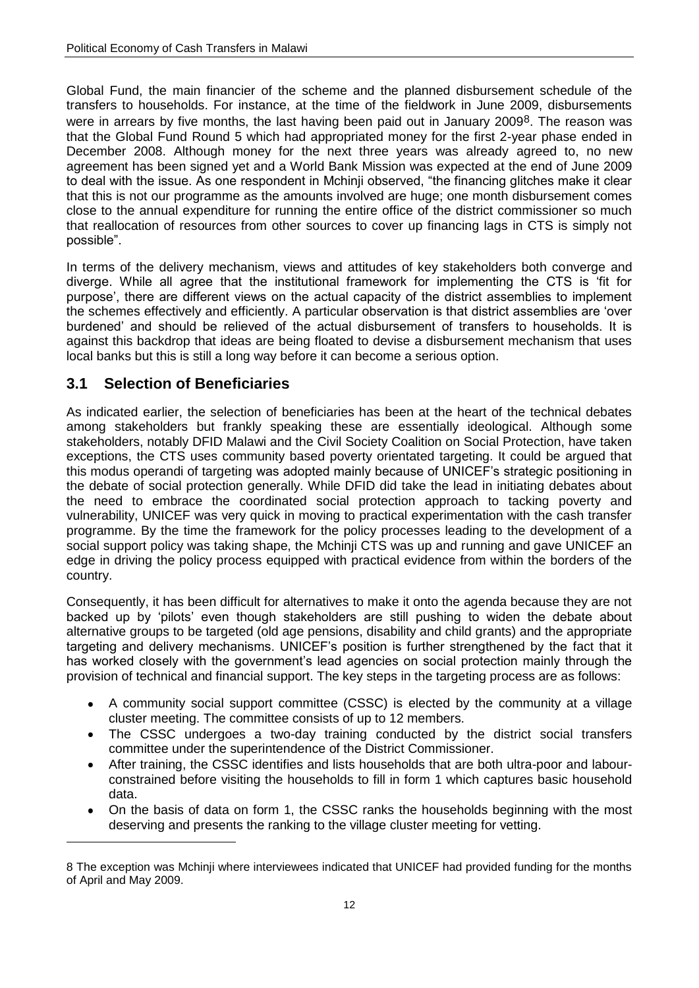Global Fund, the main financier of the scheme and the planned disbursement schedule of the transfers to households. For instance, at the time of the fieldwork in June 2009, disbursements were in arrears by five months, the last having been paid out in January 2009<sup>8</sup>. The reason was that the Global Fund Round 5 which had appropriated money for the first 2-year phase ended in December 2008. Although money for the next three years was already agreed to, no new agreement has been signed yet and a World Bank Mission was expected at the end of June 2009 to deal with the issue. As one respondent in Mchinji observed, "the financing glitches make it clear that this is not our programme as the amounts involved are huge; one month disbursement comes close to the annual expenditure for running the entire office of the district commissioner so much that reallocation of resources from other sources to cover up financing lags in CTS is simply not possible".

In terms of the delivery mechanism, views and attitudes of key stakeholders both converge and diverge. While all agree that the institutional framework for implementing the CTS is "fit for purpose", there are different views on the actual capacity of the district assemblies to implement the schemes effectively and efficiently. A particular observation is that district assemblies are "over burdened" and should be relieved of the actual disbursement of transfers to households. It is against this backdrop that ideas are being floated to devise a disbursement mechanism that uses local banks but this is still a long way before it can become a serious option.

### <span id="page-15-0"></span>**3.1 Selection of Beneficiaries**

-

As indicated earlier, the selection of beneficiaries has been at the heart of the technical debates among stakeholders but frankly speaking these are essentially ideological. Although some stakeholders, notably DFID Malawi and the Civil Society Coalition on Social Protection, have taken exceptions, the CTS uses community based poverty orientated targeting. It could be argued that this modus operandi of targeting was adopted mainly because of UNICEF"s strategic positioning in the debate of social protection generally. While DFID did take the lead in initiating debates about the need to embrace the coordinated social protection approach to tacking poverty and vulnerability, UNICEF was very quick in moving to practical experimentation with the cash transfer programme. By the time the framework for the policy processes leading to the development of a social support policy was taking shape, the Mchinji CTS was up and running and gave UNICEF an edge in driving the policy process equipped with practical evidence from within the borders of the country.

Consequently, it has been difficult for alternatives to make it onto the agenda because they are not backed up by "pilots" even though stakeholders are still pushing to widen the debate about alternative groups to be targeted (old age pensions, disability and child grants) and the appropriate targeting and delivery mechanisms. UNICEF"s position is further strengthened by the fact that it has worked closely with the government's lead agencies on social protection mainly through the provision of technical and financial support. The key steps in the targeting process are as follows:

- A community social support committee (CSSC) is elected by the community at a village cluster meeting. The committee consists of up to 12 members.
- The CSSC undergoes a two-day training conducted by the district social transfers  $\bullet$ committee under the superintendence of the District Commissioner.
- After training, the CSSC identifies and lists households that are both ultra-poor and labour- $\bullet$ constrained before visiting the households to fill in form 1 which captures basic household data.
- On the basis of data on form 1, the CSSC ranks the households beginning with the most  $\bullet$ deserving and presents the ranking to the village cluster meeting for vetting.

<sup>8</sup> The exception was Mchinji where interviewees indicated that UNICEF had provided funding for the months of April and May 2009.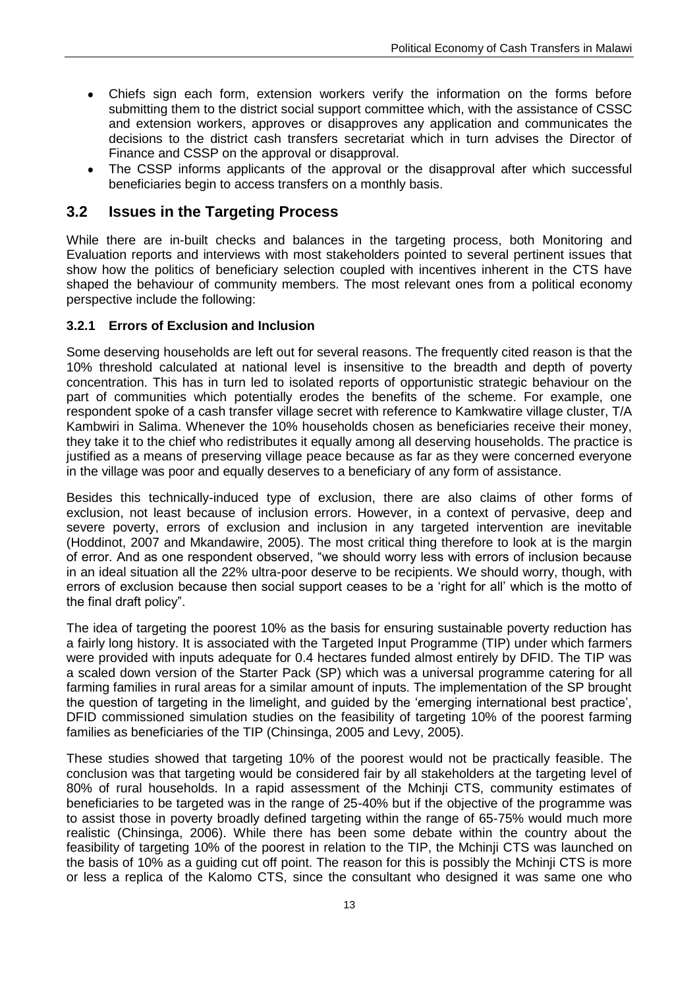- Chiefs sign each form, extension workers verify the information on the forms before submitting them to the district social support committee which, with the assistance of CSSC and extension workers, approves or disapproves any application and communicates the decisions to the district cash transfers secretariat which in turn advises the Director of Finance and CSSP on the approval or disapproval.
- The CSSP informs applicants of the approval or the disapproval after which successful beneficiaries begin to access transfers on a monthly basis.

### <span id="page-16-0"></span>**3.2 Issues in the Targeting Process**

While there are in-built checks and balances in the targeting process, both Monitoring and Evaluation reports and interviews with most stakeholders pointed to several pertinent issues that show how the politics of beneficiary selection coupled with incentives inherent in the CTS have shaped the behaviour of community members. The most relevant ones from a political economy perspective include the following:

#### **3.2.1 Errors of Exclusion and Inclusion**

Some deserving households are left out for several reasons. The frequently cited reason is that the 10% threshold calculated at national level is insensitive to the breadth and depth of poverty concentration. This has in turn led to isolated reports of opportunistic strategic behaviour on the part of communities which potentially erodes the benefits of the scheme. For example, one respondent spoke of a cash transfer village secret with reference to Kamkwatire village cluster, T/A Kambwiri in Salima. Whenever the 10% households chosen as beneficiaries receive their money, they take it to the chief who redistributes it equally among all deserving households. The practice is justified as a means of preserving village peace because as far as they were concerned everyone in the village was poor and equally deserves to a beneficiary of any form of assistance.

Besides this technically-induced type of exclusion, there are also claims of other forms of exclusion, not least because of inclusion errors. However, in a context of pervasive, deep and severe poverty, errors of exclusion and inclusion in any targeted intervention are inevitable (Hoddinot, 2007 and Mkandawire, 2005). The most critical thing therefore to look at is the margin of error. And as one respondent observed, "we should worry less with errors of inclusion because in an ideal situation all the 22% ultra-poor deserve to be recipients. We should worry, though, with errors of exclusion because then social support ceases to be a "right for all" which is the motto of the final draft policy".

The idea of targeting the poorest 10% as the basis for ensuring sustainable poverty reduction has a fairly long history. It is associated with the Targeted Input Programme (TIP) under which farmers were provided with inputs adequate for 0.4 hectares funded almost entirely by DFID. The TIP was a scaled down version of the Starter Pack (SP) which was a universal programme catering for all farming families in rural areas for a similar amount of inputs. The implementation of the SP brought the question of targeting in the limelight, and guided by the "emerging international best practice", DFID commissioned simulation studies on the feasibility of targeting 10% of the poorest farming families as beneficiaries of the TIP (Chinsinga, 2005 and Levy, 2005).

These studies showed that targeting 10% of the poorest would not be practically feasible. The conclusion was that targeting would be considered fair by all stakeholders at the targeting level of 80% of rural households. In a rapid assessment of the Mchinji CTS, community estimates of beneficiaries to be targeted was in the range of 25-40% but if the objective of the programme was to assist those in poverty broadly defined targeting within the range of 65-75% would much more realistic (Chinsinga, 2006). While there has been some debate within the country about the feasibility of targeting 10% of the poorest in relation to the TIP, the Mchinji CTS was launched on the basis of 10% as a guiding cut off point. The reason for this is possibly the Mchinji CTS is more or less a replica of the Kalomo CTS, since the consultant who designed it was same one who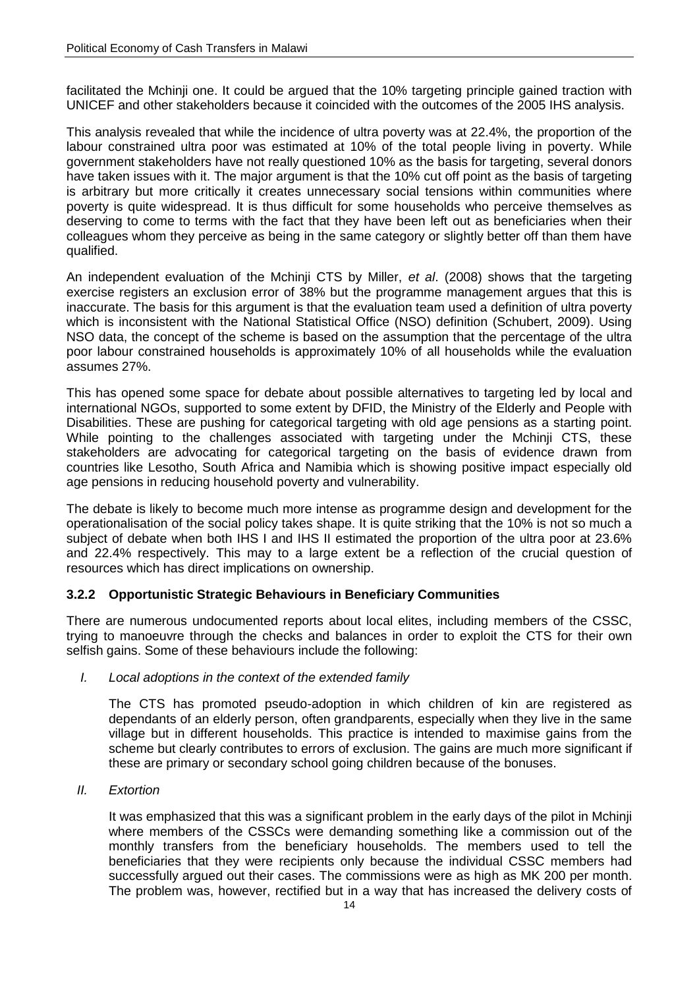facilitated the Mchinji one. It could be argued that the 10% targeting principle gained traction with UNICEF and other stakeholders because it coincided with the outcomes of the 2005 IHS analysis.

This analysis revealed that while the incidence of ultra poverty was at 22.4%, the proportion of the labour constrained ultra poor was estimated at 10% of the total people living in poverty. While government stakeholders have not really questioned 10% as the basis for targeting, several donors have taken issues with it. The major argument is that the 10% cut off point as the basis of targeting is arbitrary but more critically it creates unnecessary social tensions within communities where poverty is quite widespread. It is thus difficult for some households who perceive themselves as deserving to come to terms with the fact that they have been left out as beneficiaries when their colleagues whom they perceive as being in the same category or slightly better off than them have qualified.

An independent evaluation of the Mchinji CTS by Miller, *et al*. (2008) shows that the targeting exercise registers an exclusion error of 38% but the programme management argues that this is inaccurate. The basis for this argument is that the evaluation team used a definition of ultra poverty which is inconsistent with the National Statistical Office (NSO) definition (Schubert, 2009). Using NSO data, the concept of the scheme is based on the assumption that the percentage of the ultra poor labour constrained households is approximately 10% of all households while the evaluation assumes 27%.

This has opened some space for debate about possible alternatives to targeting led by local and international NGOs, supported to some extent by DFID, the Ministry of the Elderly and People with Disabilities. These are pushing for categorical targeting with old age pensions as a starting point. While pointing to the challenges associated with targeting under the Mchinji CTS, these stakeholders are advocating for categorical targeting on the basis of evidence drawn from countries like Lesotho, South Africa and Namibia which is showing positive impact especially old age pensions in reducing household poverty and vulnerability.

The debate is likely to become much more intense as programme design and development for the operationalisation of the social policy takes shape. It is quite striking that the 10% is not so much a subject of debate when both IHS I and IHS II estimated the proportion of the ultra poor at 23.6% and 22.4% respectively. This may to a large extent be a reflection of the crucial question of resources which has direct implications on ownership.

### **3.2.2 Opportunistic Strategic Behaviours in Beneficiary Communities**

There are numerous undocumented reports about local elites, including members of the CSSC, trying to manoeuvre through the checks and balances in order to exploit the CTS for their own selfish gains. Some of these behaviours include the following:

#### *I. Local adoptions in the context of the extended family*

The CTS has promoted pseudo-adoption in which children of kin are registered as dependants of an elderly person, often grandparents, especially when they live in the same village but in different households. This practice is intended to maximise gains from the scheme but clearly contributes to errors of exclusion. The gains are much more significant if these are primary or secondary school going children because of the bonuses.

*II. Extortion*

It was emphasized that this was a significant problem in the early days of the pilot in Mchinji where members of the CSSCs were demanding something like a commission out of the monthly transfers from the beneficiary households. The members used to tell the beneficiaries that they were recipients only because the individual CSSC members had successfully argued out their cases. The commissions were as high as MK 200 per month. The problem was, however, rectified but in a way that has increased the delivery costs of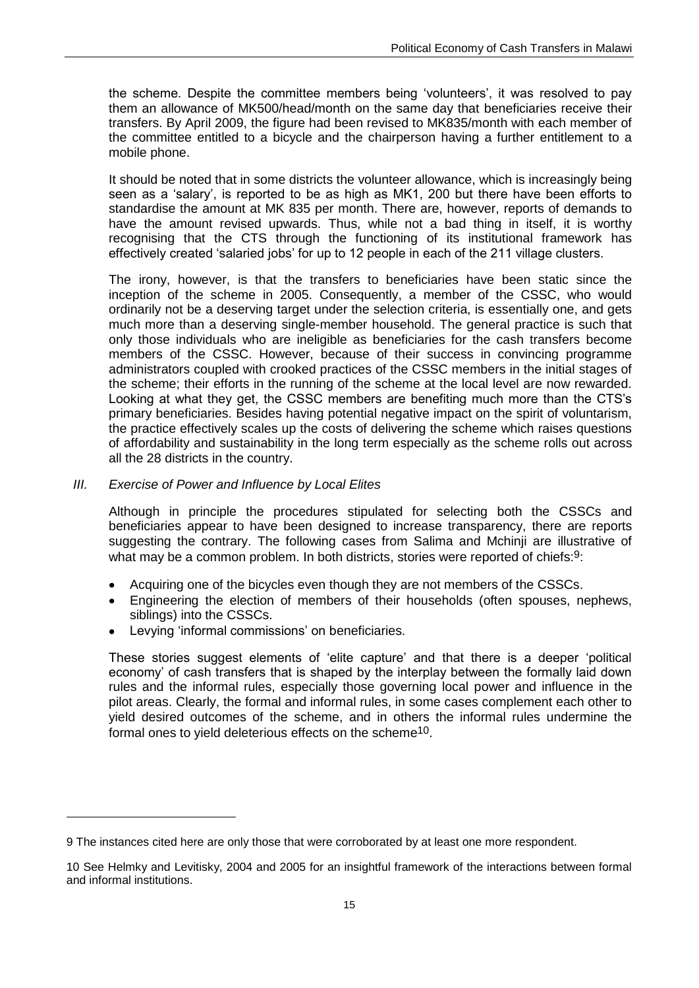the scheme. Despite the committee members being "volunteers", it was resolved to pay them an allowance of MK500/head/month on the same day that beneficiaries receive their transfers. By April 2009, the figure had been revised to MK835/month with each member of the committee entitled to a bicycle and the chairperson having a further entitlement to a mobile phone.

It should be noted that in some districts the volunteer allowance, which is increasingly being seen as a "salary", is reported to be as high as MK1, 200 but there have been efforts to standardise the amount at MK 835 per month. There are, however, reports of demands to have the amount revised upwards. Thus, while not a bad thing in itself, it is worthy recognising that the CTS through the functioning of its institutional framework has effectively created "salaried jobs" for up to 12 people in each of the 211 village clusters.

The irony, however, is that the transfers to beneficiaries have been static since the inception of the scheme in 2005. Consequently, a member of the CSSC, who would ordinarily not be a deserving target under the selection criteria, is essentially one, and gets much more than a deserving single-member household. The general practice is such that only those individuals who are ineligible as beneficiaries for the cash transfers become members of the CSSC. However, because of their success in convincing programme administrators coupled with crooked practices of the CSSC members in the initial stages of the scheme; their efforts in the running of the scheme at the local level are now rewarded. Looking at what they get, the CSSC members are benefiting much more than the CTS"s primary beneficiaries. Besides having potential negative impact on the spirit of voluntarism, the practice effectively scales up the costs of delivering the scheme which raises questions of affordability and sustainability in the long term especially as the scheme rolls out across all the 28 districts in the country.

*III. Exercise of Power and Influence by Local Elites*

-

Although in principle the procedures stipulated for selecting both the CSSCs and beneficiaries appear to have been designed to increase transparency, there are reports suggesting the contrary. The following cases from Salima and Mchinji are illustrative of what may be a common problem. In both districts, stories were reported of chiefs:<sup>9</sup>:

- Acquiring one of the bicycles even though they are not members of the CSSCs.
- Engineering the election of members of their households (often spouses, nephews, siblings) into the CSSCs.
- Levying 'informal commissions' on beneficiaries.

These stories suggest elements of "elite capture" and that there is a deeper "political economy" of cash transfers that is shaped by the interplay between the formally laid down rules and the informal rules, especially those governing local power and influence in the pilot areas. Clearly, the formal and informal rules, in some cases complement each other to yield desired outcomes of the scheme, and in others the informal rules undermine the formal ones to yield deleterious effects on the scheme<sup>10</sup>.

<sup>9</sup> The instances cited here are only those that were corroborated by at least one more respondent.

<sup>10</sup> See Helmky and Levitisky, 2004 and 2005 for an insightful framework of the interactions between formal and informal institutions.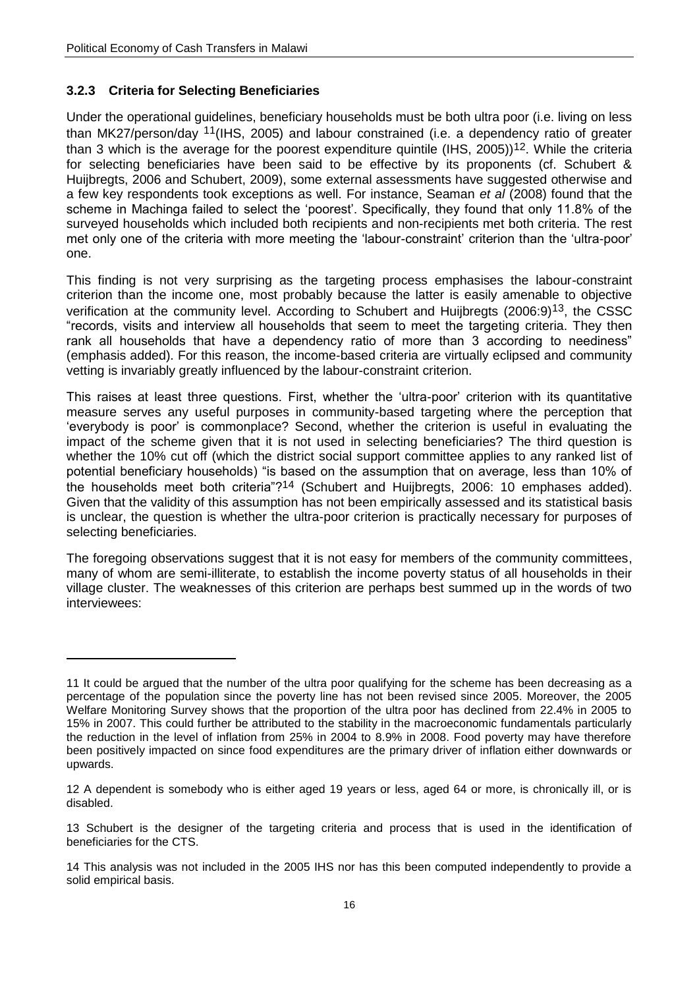#### **3.2.3 Criteria for Selecting Beneficiaries**

-

Under the operational guidelines, beneficiary households must be both ultra poor (i.e. living on less than MK27/person/day 11(IHS, 2005) and labour constrained (i.e. a dependency ratio of greater than 3 which is the average for the poorest expenditure quintile (IHS, 2005))<sup>12</sup>. While the criteria for selecting beneficiaries have been said to be effective by its proponents (cf. Schubert & Huijbregts, 2006 and Schubert, 2009), some external assessments have suggested otherwise and a few key respondents took exceptions as well. For instance, Seaman *et al* (2008) found that the scheme in Machinga failed to select the 'poorest'. Specifically, they found that only 11.8% of the surveyed households which included both recipients and non-recipients met both criteria. The rest met only one of the criteria with more meeting the 'labour-constraint' criterion than the 'ultra-poor' one.

This finding is not very surprising as the targeting process emphasises the labour-constraint criterion than the income one, most probably because the latter is easily amenable to objective verification at the community level. According to Schubert and Huijbregts (2006:9)13, the CSSC "records, visits and interview all households that seem to meet the targeting criteria. They then rank all households that have a dependency ratio of more than 3 according to neediness" (emphasis added). For this reason, the income-based criteria are virtually eclipsed and community vetting is invariably greatly influenced by the labour-constraint criterion.

This raises at least three questions. First, whether the "ultra-poor" criterion with its quantitative measure serves any useful purposes in community-based targeting where the perception that "everybody is poor" is commonplace? Second, whether the criterion is useful in evaluating the impact of the scheme given that it is not used in selecting beneficiaries? The third question is whether the 10% cut off (which the district social support committee applies to any ranked list of potential beneficiary households) "is based on the assumption that on average, less than 10% of the households meet both criteria"?14 (Schubert and Huijbregts, 2006: 10 emphases added). Given that the validity of this assumption has not been empirically assessed and its statistical basis is unclear, the question is whether the ultra-poor criterion is practically necessary for purposes of selecting beneficiaries.

The foregoing observations suggest that it is not easy for members of the community committees, many of whom are semi-illiterate, to establish the income poverty status of all households in their village cluster. The weaknesses of this criterion are perhaps best summed up in the words of two interviewees:

<sup>11</sup> It could be argued that the number of the ultra poor qualifying for the scheme has been decreasing as a percentage of the population since the poverty line has not been revised since 2005. Moreover, the 2005 Welfare Monitoring Survey shows that the proportion of the ultra poor has declined from 22.4% in 2005 to 15% in 2007. This could further be attributed to the stability in the macroeconomic fundamentals particularly the reduction in the level of inflation from 25% in 2004 to 8.9% in 2008. Food poverty may have therefore been positively impacted on since food expenditures are the primary driver of inflation either downwards or upwards.

<sup>12</sup> A dependent is somebody who is either aged 19 years or less, aged 64 or more, is chronically ill, or is disabled.

<sup>13</sup> Schubert is the designer of the targeting criteria and process that is used in the identification of beneficiaries for the CTS.

<sup>14</sup> This analysis was not included in the 2005 IHS nor has this been computed independently to provide a solid empirical basis.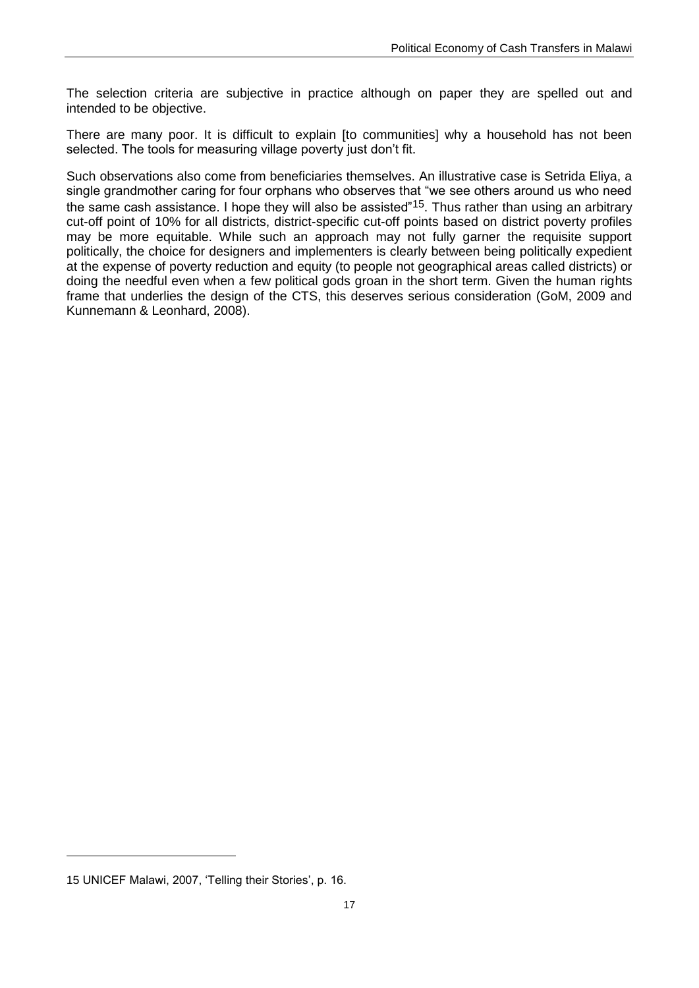The selection criteria are subjective in practice although on paper they are spelled out and intended to be objective.

There are many poor. It is difficult to explain [to communities] why a household has not been selected. The tools for measuring village poverty just don't fit.

Such observations also come from beneficiaries themselves. An illustrative case is Setrida Eliya, a single grandmother caring for four orphans who observes that "we see others around us who need the same cash assistance. I hope they will also be assisted"<sup>15</sup>. Thus rather than using an arbitrary cut-off point of 10% for all districts, district-specific cut-off points based on district poverty profiles may be more equitable. While such an approach may not fully garner the requisite support politically, the choice for designers and implementers is clearly between being politically expedient at the expense of poverty reduction and equity (to people not geographical areas called districts) or doing the needful even when a few political gods groan in the short term. Given the human rights frame that underlies the design of the CTS, this deserves serious consideration (GoM, 2009 and Kunnemann & Leonhard, 2008).

-

<sup>15</sup> UNICEF Malawi, 2007, "Telling their Stories", p. 16.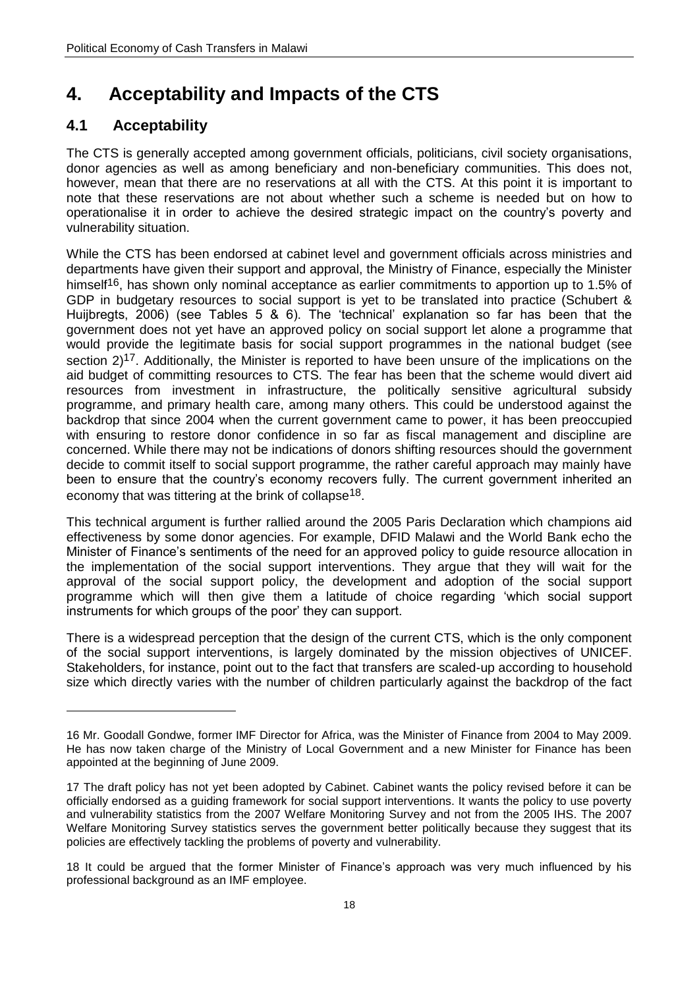# <span id="page-21-0"></span>**4. Acceptability and Impacts of the CTS**

## <span id="page-21-1"></span>**4.1 Acceptability**

-

The CTS is generally accepted among government officials, politicians, civil society organisations, donor agencies as well as among beneficiary and non-beneficiary communities. This does not, however, mean that there are no reservations at all with the CTS. At this point it is important to note that these reservations are not about whether such a scheme is needed but on how to operationalise it in order to achieve the desired strategic impact on the country"s poverty and vulnerability situation.

While the CTS has been endorsed at cabinet level and government officials across ministries and departments have given their support and approval, the Ministry of Finance, especially the Minister himself<sup>16</sup>, has shown only nominal acceptance as earlier commitments to apportion up to 1.5% of GDP in budgetary resources to social support is yet to be translated into practice (Schubert & Huijbregts, 2006) (see Tables 5 & 6). The "technical" explanation so far has been that the government does not yet have an approved policy on social support let alone a programme that would provide the legitimate basis for social support programmes in the national budget (see section 2)<sup>17</sup>. Additionally, the Minister is reported to have been unsure of the implications on the aid budget of committing resources to CTS. The fear has been that the scheme would divert aid resources from investment in infrastructure, the politically sensitive agricultural subsidy programme, and primary health care, among many others. This could be understood against the backdrop that since 2004 when the current government came to power, it has been preoccupied with ensuring to restore donor confidence in so far as fiscal management and discipline are concerned. While there may not be indications of donors shifting resources should the government decide to commit itself to social support programme, the rather careful approach may mainly have been to ensure that the country's economy recovers fully. The current government inherited an economy that was tittering at the brink of collapse18.

This technical argument is further rallied around the 2005 Paris Declaration which champions aid effectiveness by some donor agencies. For example, DFID Malawi and the World Bank echo the Minister of Finance's sentiments of the need for an approved policy to guide resource allocation in the implementation of the social support interventions. They argue that they will wait for the approval of the social support policy, the development and adoption of the social support programme which will then give them a latitude of choice regarding "which social support instruments for which groups of the poor' they can support.

There is a widespread perception that the design of the current CTS, which is the only component of the social support interventions, is largely dominated by the mission objectives of UNICEF. Stakeholders, for instance, point out to the fact that transfers are scaled-up according to household size which directly varies with the number of children particularly against the backdrop of the fact

<sup>16</sup> Mr. Goodall Gondwe, former IMF Director for Africa, was the Minister of Finance from 2004 to May 2009. He has now taken charge of the Ministry of Local Government and a new Minister for Finance has been appointed at the beginning of June 2009.

<sup>17</sup> The draft policy has not yet been adopted by Cabinet. Cabinet wants the policy revised before it can be officially endorsed as a guiding framework for social support interventions. It wants the policy to use poverty and vulnerability statistics from the 2007 Welfare Monitoring Survey and not from the 2005 IHS. The 2007 Welfare Monitoring Survey statistics serves the government better politically because they suggest that its policies are effectively tackling the problems of poverty and vulnerability.

<sup>18</sup> It could be argued that the former Minister of Finance"s approach was very much influenced by his professional background as an IMF employee.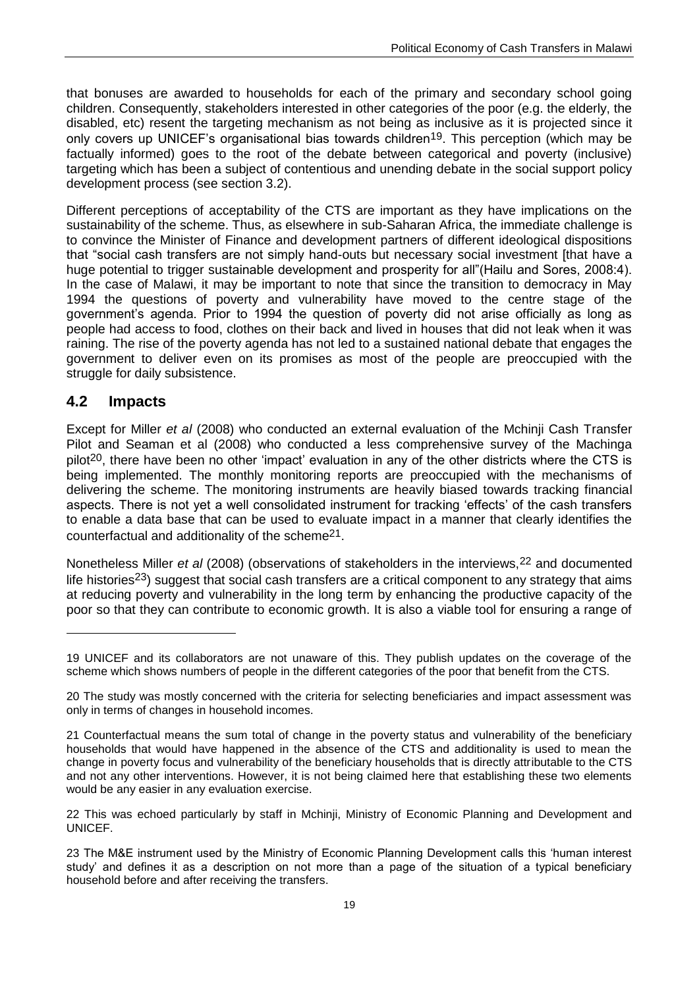that bonuses are awarded to households for each of the primary and secondary school going children. Consequently, stakeholders interested in other categories of the poor (e.g. the elderly, the disabled, etc) resent the targeting mechanism as not being as inclusive as it is projected since it only covers up UNICEF's organisational bias towards children<sup>19</sup>. This perception (which may be factually informed) goes to the root of the debate between categorical and poverty (inclusive) targeting which has been a subject of contentious and unending debate in the social support policy development process (see section 3.2).

Different perceptions of acceptability of the CTS are important as they have implications on the sustainability of the scheme. Thus, as elsewhere in sub-Saharan Africa, the immediate challenge is to convince the Minister of Finance and development partners of different ideological dispositions that "social cash transfers are not simply hand-outs but necessary social investment [that have a huge potential to trigger sustainable development and prosperity for all"(Hailu and Sores, 2008:4). In the case of Malawi, it may be important to note that since the transition to democracy in May 1994 the questions of poverty and vulnerability have moved to the centre stage of the government's agenda. Prior to 1994 the question of poverty did not arise officially as long as people had access to food, clothes on their back and lived in houses that did not leak when it was raining. The rise of the poverty agenda has not led to a sustained national debate that engages the government to deliver even on its promises as most of the people are preoccupied with the struggle for daily subsistence.

### <span id="page-22-0"></span>**4.2 Impacts**

-

Except for Miller *et al* (2008) who conducted an external evaluation of the Mchinji Cash Transfer Pilot and Seaman et al (2008) who conducted a less comprehensive survey of the Machinga pilot<sup>20</sup>, there have been no other 'impact' evaluation in any of the other districts where the CTS is being implemented. The monthly monitoring reports are preoccupied with the mechanisms of delivering the scheme. The monitoring instruments are heavily biased towards tracking financial aspects. There is not yet a well consolidated instrument for tracking 'effects' of the cash transfers to enable a data base that can be used to evaluate impact in a manner that clearly identifies the counterfactual and additionality of the scheme21.

Nonetheless Miller *et al* (2008) (observations of stakeholders in the interviews,<sup>22</sup> and documented life histories<sup>23</sup>) suggest that social cash transfers are a critical component to any strategy that aims at reducing poverty and vulnerability in the long term by enhancing the productive capacity of the poor so that they can contribute to economic growth. It is also a viable tool for ensuring a range of

<sup>19</sup> UNICEF and its collaborators are not unaware of this. They publish updates on the coverage of the scheme which shows numbers of people in the different categories of the poor that benefit from the CTS.

<sup>20</sup> The study was mostly concerned with the criteria for selecting beneficiaries and impact assessment was only in terms of changes in household incomes.

<sup>21</sup> Counterfactual means the sum total of change in the poverty status and vulnerability of the beneficiary households that would have happened in the absence of the CTS and additionality is used to mean the change in poverty focus and vulnerability of the beneficiary households that is directly attributable to the CTS and not any other interventions. However, it is not being claimed here that establishing these two elements would be any easier in any evaluation exercise.

<sup>22</sup> This was echoed particularly by staff in Mchinji, Ministry of Economic Planning and Development and UNICEF.

<sup>23</sup> The M&E instrument used by the Ministry of Economic Planning Development calls this "human interest study" and defines it as a description on not more than a page of the situation of a typical beneficiary household before and after receiving the transfers.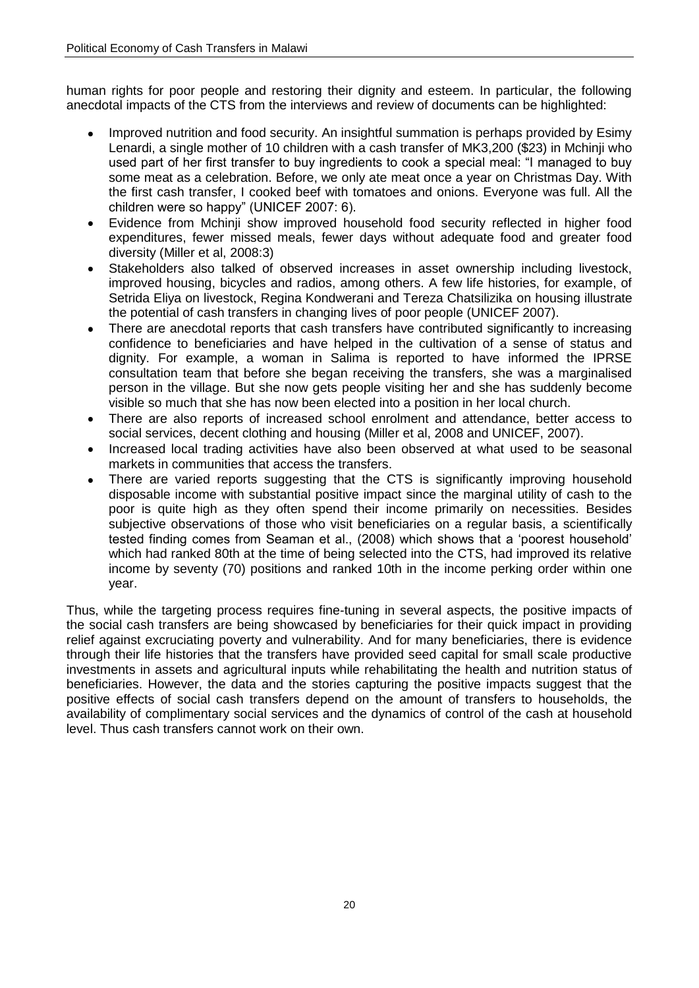human rights for poor people and restoring their dignity and esteem. In particular, the following anecdotal impacts of the CTS from the interviews and review of documents can be highlighted:

- Improved nutrition and food security. An insightful summation is perhaps provided by Esimy Lenardi, a single mother of 10 children with a cash transfer of MK3,200 (\$23) in Mchinji who used part of her first transfer to buy ingredients to cook a special meal: "I managed to buy some meat as a celebration. Before, we only ate meat once a year on Christmas Day. With the first cash transfer, I cooked beef with tomatoes and onions. Everyone was full. All the children were so happy" (UNICEF 2007: 6).
- Evidence from Mchinji show improved household food security reflected in higher food expenditures, fewer missed meals, fewer days without adequate food and greater food diversity (Miller et al, 2008:3)
- Stakeholders also talked of observed increases in asset ownership including livestock,  $\bullet$ improved housing, bicycles and radios, among others. A few life histories, for example, of Setrida Eliya on livestock, Regina Kondwerani and Tereza Chatsilizika on housing illustrate the potential of cash transfers in changing lives of poor people (UNICEF 2007).
- There are anecdotal reports that cash transfers have contributed significantly to increasing confidence to beneficiaries and have helped in the cultivation of a sense of status and dignity. For example, a woman in Salima is reported to have informed the IPRSE consultation team that before she began receiving the transfers, she was a marginalised person in the village. But she now gets people visiting her and she has suddenly become visible so much that she has now been elected into a position in her local church.
- There are also reports of increased school enrolment and attendance, better access to social services, decent clothing and housing (Miller et al, 2008 and UNICEF, 2007).
- Increased local trading activities have also been observed at what used to be seasonal  $\bullet$ markets in communities that access the transfers.
- There are varied reports suggesting that the CTS is significantly improving household  $\bullet$ disposable income with substantial positive impact since the marginal utility of cash to the poor is quite high as they often spend their income primarily on necessities. Besides subjective observations of those who visit beneficiaries on a regular basis, a scientifically tested finding comes from Seaman et al., (2008) which shows that a "poorest household" which had ranked 80th at the time of being selected into the CTS, had improved its relative income by seventy (70) positions and ranked 10th in the income perking order within one year.

Thus, while the targeting process requires fine-tuning in several aspects, the positive impacts of the social cash transfers are being showcased by beneficiaries for their quick impact in providing relief against excruciating poverty and vulnerability. And for many beneficiaries, there is evidence through their life histories that the transfers have provided seed capital for small scale productive investments in assets and agricultural inputs while rehabilitating the health and nutrition status of beneficiaries. However, the data and the stories capturing the positive impacts suggest that the positive effects of social cash transfers depend on the amount of transfers to households, the availability of complimentary social services and the dynamics of control of the cash at household level. Thus cash transfers cannot work on their own.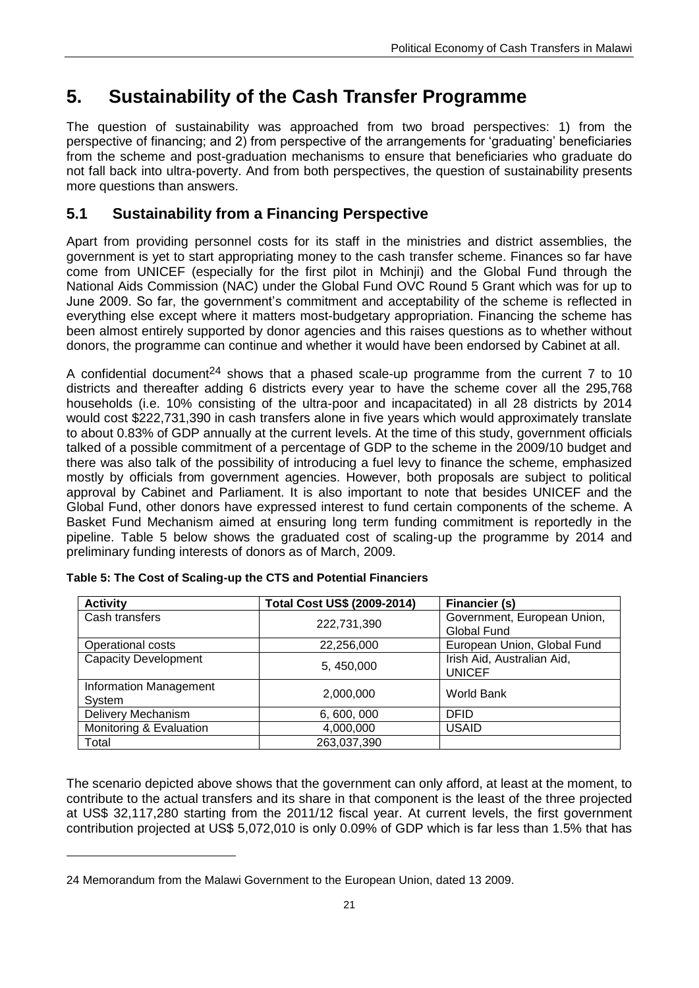# <span id="page-24-0"></span>**5. Sustainability of the Cash Transfer Programme**

The question of sustainability was approached from two broad perspectives: 1) from the perspective of financing; and 2) from perspective of the arrangements for "graduating" beneficiaries from the scheme and post-graduation mechanisms to ensure that beneficiaries who graduate do not fall back into ultra-poverty. And from both perspectives, the question of sustainability presents more questions than answers.

## <span id="page-24-1"></span>**5.1 Sustainability from a Financing Perspective**

Apart from providing personnel costs for its staff in the ministries and district assemblies, the government is yet to start appropriating money to the cash transfer scheme. Finances so far have come from UNICEF (especially for the first pilot in Mchinji) and the Global Fund through the National Aids Commission (NAC) under the Global Fund OVC Round 5 Grant which was for up to June 2009. So far, the government's commitment and acceptability of the scheme is reflected in everything else except where it matters most-budgetary appropriation. Financing the scheme has been almost entirely supported by donor agencies and this raises questions as to whether without donors, the programme can continue and whether it would have been endorsed by Cabinet at all.

A confidential document<sup>24</sup> shows that a phased scale-up programme from the current  $7$  to 10 districts and thereafter adding 6 districts every year to have the scheme cover all the 295,768 households (i.e. 10% consisting of the ultra-poor and incapacitated) in all 28 districts by 2014 would cost \$222,731,390 in cash transfers alone in five years which would approximately translate to about 0.83% of GDP annually at the current levels. At the time of this study, government officials talked of a possible commitment of a percentage of GDP to the scheme in the 2009/10 budget and there was also talk of the possibility of introducing a fuel levy to finance the scheme, emphasized mostly by officials from government agencies. However, both proposals are subject to political approval by Cabinet and Parliament. It is also important to note that besides UNICEF and the Global Fund, other donors have expressed interest to fund certain components of the scheme. A Basket Fund Mechanism aimed at ensuring long term funding commitment is reportedly in the pipeline. Table 5 below shows the graduated cost of scaling-up the programme by 2014 and preliminary funding interests of donors as of March, 2009.

| <b>Activity</b>                         | Total Cost US\$ (2009-2014) | Financier (s)                               |
|-----------------------------------------|-----------------------------|---------------------------------------------|
| Cash transfers                          | 222,731,390                 | Government, European Union,                 |
|                                         |                             | Global Fund                                 |
| Operational costs                       | 22,256,000                  | European Union, Global Fund                 |
| <b>Capacity Development</b>             | 5, 450,000                  | Irish Aid, Australian Aid,<br><b>UNICEF</b> |
| <b>Information Management</b><br>System | 2,000,000                   | World Bank                                  |
| <b>Delivery Mechanism</b>               | 6, 600, 000                 | <b>DFID</b>                                 |
| Monitoring & Evaluation                 | 4,000,000                   | <b>USAID</b>                                |
| Total                                   | 263,037,390                 |                                             |

<span id="page-24-2"></span>

|  |  |  | Table 5: The Cost of Scaling-up the CTS and Potential Financiers |
|--|--|--|------------------------------------------------------------------|
|  |  |  |                                                                  |

The scenario depicted above shows that the government can only afford, at least at the moment, to contribute to the actual transfers and its share in that component is the least of the three projected at US\$ 32,117,280 starting from the 2011/12 fiscal year. At current levels, the first government contribution projected at US\$ 5,072,010 is only 0.09% of GDP which is far less than 1.5% that has

-

<sup>24</sup> Memorandum from the Malawi Government to the European Union, dated 13 2009.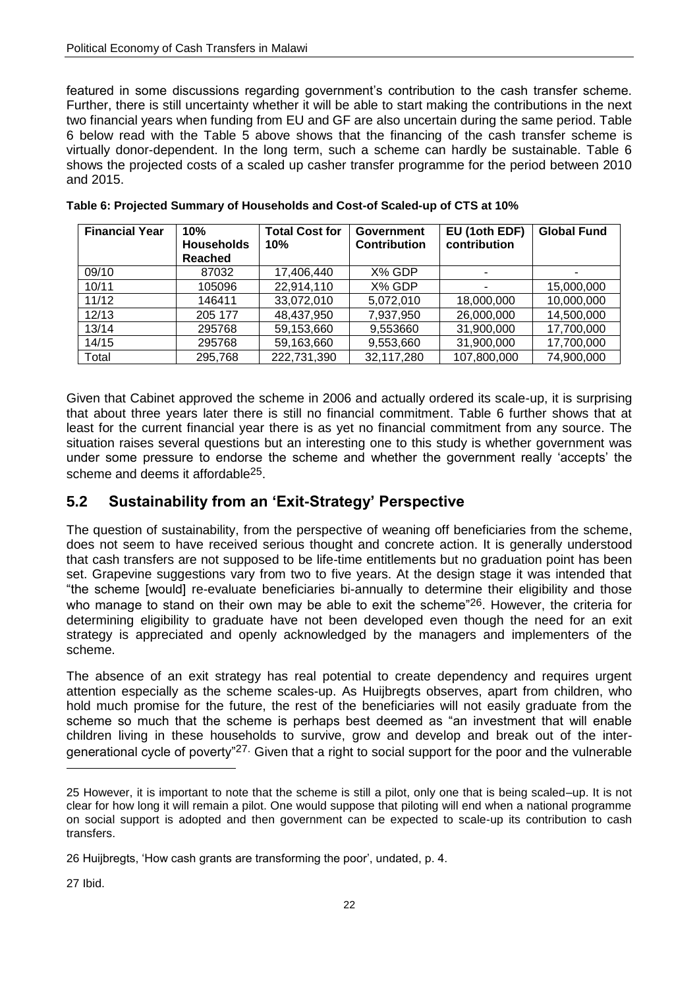featured in some discussions regarding government's contribution to the cash transfer scheme. Further, there is still uncertainty whether it will be able to start making the contributions in the next two financial years when funding from EU and GF are also uncertain during the same period. Table 6 below read with the Table 5 above shows that the financing of the cash transfer scheme is virtually donor-dependent. In the long term, such a scheme can hardly be sustainable. Table 6 shows the projected costs of a scaled up casher transfer programme for the period between 2010 and 2015.

| <b>Financial Year</b> | 10%<br><b>Households</b><br><b>Reached</b> | <b>Total Cost for</b><br>10% | Government<br><b>Contribution</b> | EU (1oth EDF)<br>contribution | <b>Global Fund</b> |
|-----------------------|--------------------------------------------|------------------------------|-----------------------------------|-------------------------------|--------------------|
| 09/10                 | 87032                                      | 17,406,440                   | X% GDP                            | ۰                             |                    |
| 10/11                 | 105096                                     | 22,914,110                   | X% GDP                            | ۰                             | 15,000,000         |
| 11/12                 | 146411                                     | 33,072,010                   | 5,072,010                         | 18,000,000                    | 10,000,000         |
| 12/13                 | 205 177                                    | 48,437,950                   | 7,937,950                         | 26,000,000                    | 14,500,000         |
| 13/14                 | 295768                                     | 59,153,660                   | 9,553660                          | 31,900,000                    | 17,700,000         |
| 14/15                 | 295768                                     | 59,163,660                   | 9,553,660                         | 31,900,000                    | 17,700,000         |
| Total                 | 295,768                                    | 222,731,390                  | 32,117,280                        | 107,800,000                   | 74,900,000         |

<span id="page-25-1"></span>

| Table 6: Projected Summary of Households and Cost-of Scaled-up of CTS at 10% |  |  |
|------------------------------------------------------------------------------|--|--|
|                                                                              |  |  |

Given that Cabinet approved the scheme in 2006 and actually ordered its scale-up, it is surprising that about three years later there is still no financial commitment. Table 6 further shows that at least for the current financial year there is as yet no financial commitment from any source. The situation raises several questions but an interesting one to this study is whether government was under some pressure to endorse the scheme and whether the government really "accepts" the scheme and deems it affordable<sup>25</sup>.

### <span id="page-25-0"></span>**5.2 Sustainability from an 'Exit-Strategy' Perspective**

The question of sustainability, from the perspective of weaning off beneficiaries from the scheme, does not seem to have received serious thought and concrete action. It is generally understood that cash transfers are not supposed to be life-time entitlements but no graduation point has been set. Grapevine suggestions vary from two to five years. At the design stage it was intended that "the scheme [would] re-evaluate beneficiaries bi-annually to determine their eligibility and those who manage to stand on their own may be able to exit the scheme"<sup>26</sup>. However, the criteria for determining eligibility to graduate have not been developed even though the need for an exit strategy is appreciated and openly acknowledged by the managers and implementers of the scheme.

The absence of an exit strategy has real potential to create dependency and requires urgent attention especially as the scheme scales-up. As Huijbregts observes, apart from children, who hold much promise for the future, the rest of the beneficiaries will not easily graduate from the scheme so much that the scheme is perhaps best deemed as "an investment that will enable children living in these households to survive, grow and develop and break out of the intergenerational cycle of poverty"27. Given that a right to social support for the poor and the vulnerable

27 Ibid.

-

<sup>25</sup> However, it is important to note that the scheme is still a pilot, only one that is being scaled–up. It is not clear for how long it will remain a pilot. One would suppose that piloting will end when a national programme on social support is adopted and then government can be expected to scale-up its contribution to cash transfers.

<sup>26</sup> Huijbregts, "How cash grants are transforming the poor", undated, p. 4.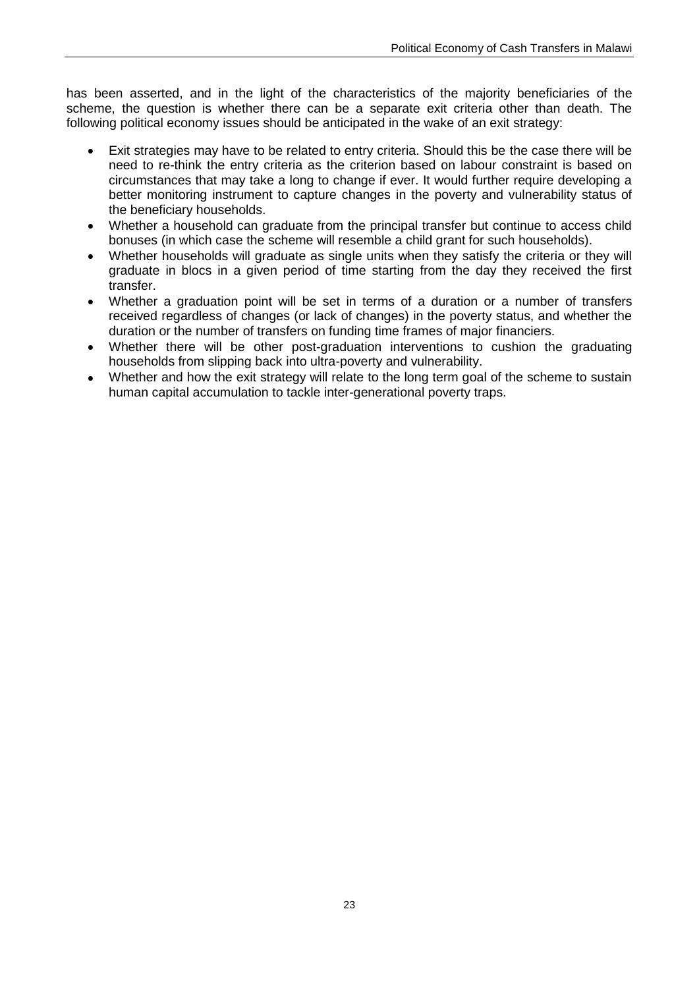has been asserted, and in the light of the characteristics of the majority beneficiaries of the scheme, the question is whether there can be a separate exit criteria other than death. The following political economy issues should be anticipated in the wake of an exit strategy:

- Exit strategies may have to be related to entry criteria. Should this be the case there will be need to re-think the entry criteria as the criterion based on labour constraint is based on circumstances that may take a long to change if ever. It would further require developing a better monitoring instrument to capture changes in the poverty and vulnerability status of the beneficiary households.
- Whether a household can graduate from the principal transfer but continue to access child  $\bullet$  . bonuses (in which case the scheme will resemble a child grant for such households).
- Whether households will graduate as single units when they satisfy the criteria or they will  $\bullet$  . graduate in blocs in a given period of time starting from the day they received the first transfer.
- Whether a graduation point will be set in terms of a duration or a number of transfers received regardless of changes (or lack of changes) in the poverty status, and whether the duration or the number of transfers on funding time frames of major financiers.
- Whether there will be other post-graduation interventions to cushion the graduating  $\bullet$ households from slipping back into ultra-poverty and vulnerability.
- $\bullet$ Whether and how the exit strategy will relate to the long term goal of the scheme to sustain human capital accumulation to tackle inter-generational poverty traps.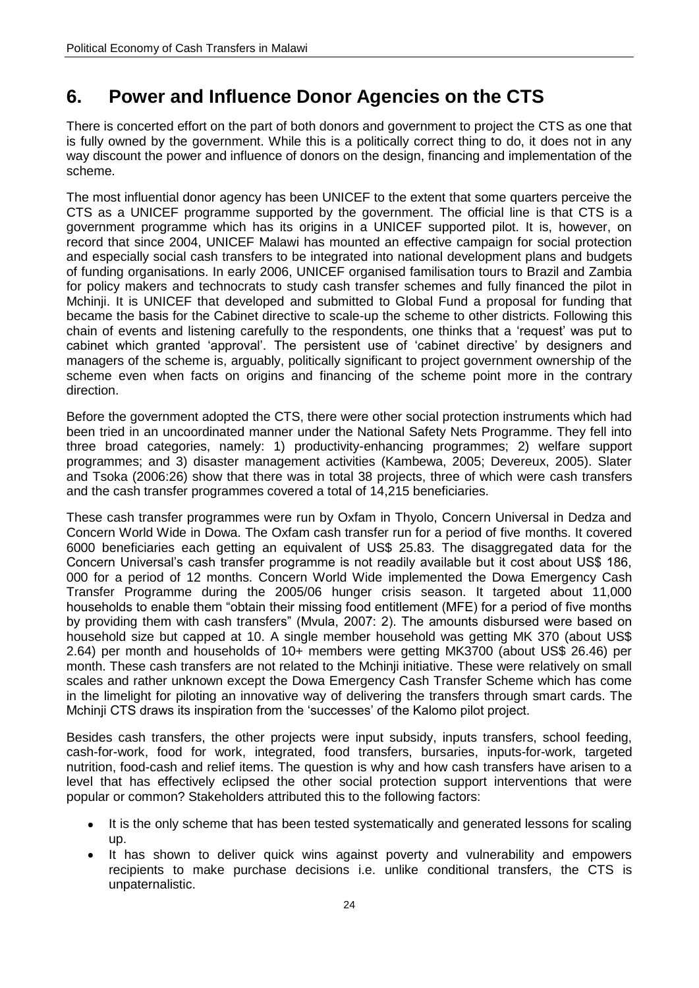## <span id="page-27-0"></span>**6. Power and Influence Donor Agencies on the CTS**

There is concerted effort on the part of both donors and government to project the CTS as one that is fully owned by the government. While this is a politically correct thing to do, it does not in any way discount the power and influence of donors on the design, financing and implementation of the scheme.

The most influential donor agency has been UNICEF to the extent that some quarters perceive the CTS as a UNICEF programme supported by the government. The official line is that CTS is a government programme which has its origins in a UNICEF supported pilot. It is, however, on record that since 2004, UNICEF Malawi has mounted an effective campaign for social protection and especially social cash transfers to be integrated into national development plans and budgets of funding organisations. In early 2006, UNICEF organised familisation tours to Brazil and Zambia for policy makers and technocrats to study cash transfer schemes and fully financed the pilot in Mchinji. It is UNICEF that developed and submitted to Global Fund a proposal for funding that became the basis for the Cabinet directive to scale-up the scheme to other districts. Following this chain of events and listening carefully to the respondents, one thinks that a "request" was put to cabinet which granted "approval". The persistent use of "cabinet directive" by designers and managers of the scheme is, arguably, politically significant to project government ownership of the scheme even when facts on origins and financing of the scheme point more in the contrary direction.

Before the government adopted the CTS, there were other social protection instruments which had been tried in an uncoordinated manner under the National Safety Nets Programme. They fell into three broad categories, namely: 1) productivity-enhancing programmes; 2) welfare support programmes; and 3) disaster management activities (Kambewa, 2005; Devereux, 2005). Slater and Tsoka (2006:26) show that there was in total 38 projects, three of which were cash transfers and the cash transfer programmes covered a total of 14,215 beneficiaries.

These cash transfer programmes were run by Oxfam in Thyolo, Concern Universal in Dedza and Concern World Wide in Dowa. The Oxfam cash transfer run for a period of five months. It covered 6000 beneficiaries each getting an equivalent of US\$ 25.83. The disaggregated data for the Concern Universal"s cash transfer programme is not readily available but it cost about US\$ 186, 000 for a period of 12 months. Concern World Wide implemented the Dowa Emergency Cash Transfer Programme during the 2005/06 hunger crisis season. It targeted about 11,000 households to enable them "obtain their missing food entitlement (MFE) for a period of five months by providing them with cash transfers" (Mvula, 2007: 2). The amounts disbursed were based on household size but capped at 10. A single member household was getting MK 370 (about US\$ 2.64) per month and households of 10+ members were getting MK3700 (about US\$ 26.46) per month. These cash transfers are not related to the Mchinji initiative. These were relatively on small scales and rather unknown except the Dowa Emergency Cash Transfer Scheme which has come in the limelight for piloting an innovative way of delivering the transfers through smart cards. The Mchinji CTS draws its inspiration from the "successes" of the Kalomo pilot project.

Besides cash transfers, the other projects were input subsidy, inputs transfers, school feeding, cash-for-work, food for work, integrated, food transfers, bursaries, inputs-for-work, targeted nutrition, food-cash and relief items. The question is why and how cash transfers have arisen to a level that has effectively eclipsed the other social protection support interventions that were popular or common? Stakeholders attributed this to the following factors:

- It is the only scheme that has been tested systematically and generated lessons for scaling  $\bullet$  . up.
- It has shown to deliver quick wins against poverty and vulnerability and empowers  $\bullet$ recipients to make purchase decisions i.e. unlike conditional transfers, the CTS is unpaternalistic.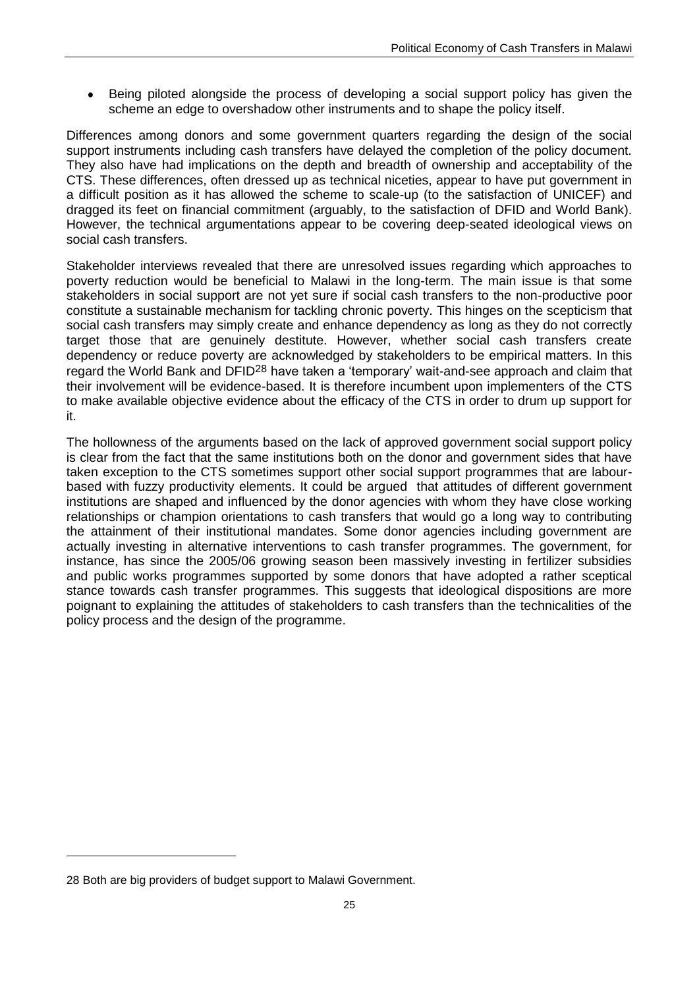• Being piloted alongside the process of developing a social support policy has given the scheme an edge to overshadow other instruments and to shape the policy itself.

Differences among donors and some government quarters regarding the design of the social support instruments including cash transfers have delayed the completion of the policy document. They also have had implications on the depth and breadth of ownership and acceptability of the CTS. These differences, often dressed up as technical niceties, appear to have put government in a difficult position as it has allowed the scheme to scale-up (to the satisfaction of UNICEF) and dragged its feet on financial commitment (arguably, to the satisfaction of DFID and World Bank). However, the technical argumentations appear to be covering deep-seated ideological views on social cash transfers.

Stakeholder interviews revealed that there are unresolved issues regarding which approaches to poverty reduction would be beneficial to Malawi in the long-term. The main issue is that some stakeholders in social support are not yet sure if social cash transfers to the non-productive poor constitute a sustainable mechanism for tackling chronic poverty. This hinges on the scepticism that social cash transfers may simply create and enhance dependency as long as they do not correctly target those that are genuinely destitute. However, whether social cash transfers create dependency or reduce poverty are acknowledged by stakeholders to be empirical matters. In this regard the World Bank and DFID<sup>28</sup> have taken a 'temporary' wait-and-see approach and claim that their involvement will be evidence-based. It is therefore incumbent upon implementers of the CTS to make available objective evidence about the efficacy of the CTS in order to drum up support for it.

The hollowness of the arguments based on the lack of approved government social support policy is clear from the fact that the same institutions both on the donor and government sides that have taken exception to the CTS sometimes support other social support programmes that are labourbased with fuzzy productivity elements. It could be argued that attitudes of different government institutions are shaped and influenced by the donor agencies with whom they have close working relationships or champion orientations to cash transfers that would go a long way to contributing the attainment of their institutional mandates. Some donor agencies including government are actually investing in alternative interventions to cash transfer programmes. The government, for instance, has since the 2005/06 growing season been massively investing in fertilizer subsidies and public works programmes supported by some donors that have adopted a rather sceptical stance towards cash transfer programmes. This suggests that ideological dispositions are more poignant to explaining the attitudes of stakeholders to cash transfers than the technicalities of the policy process and the design of the programme.

-

<sup>28</sup> Both are big providers of budget support to Malawi Government.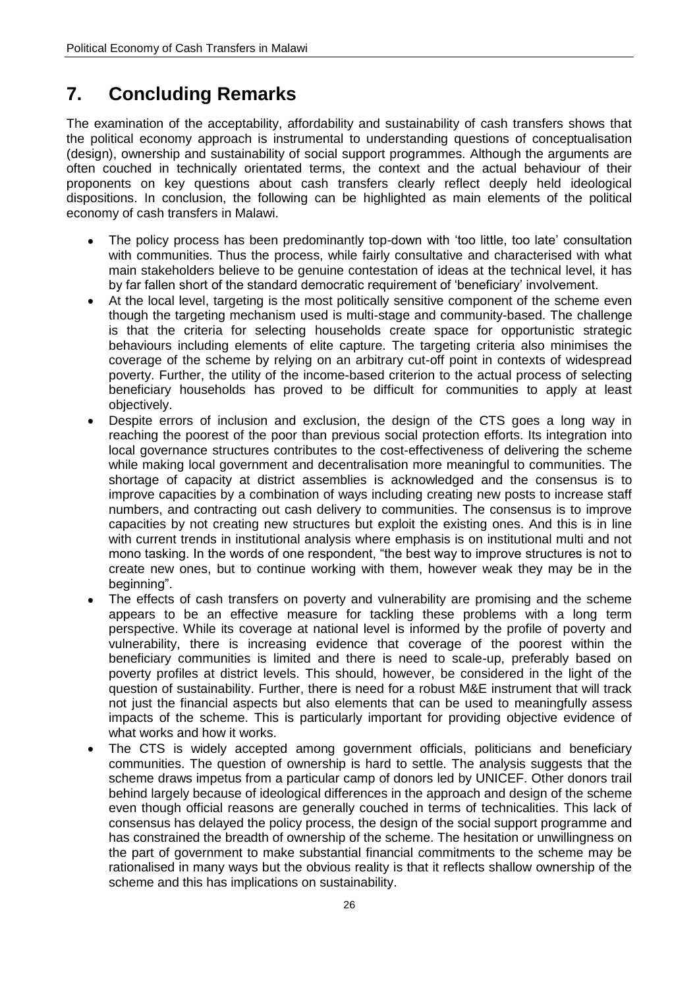## <span id="page-29-0"></span>**7. Concluding Remarks**

The examination of the acceptability, affordability and sustainability of cash transfers shows that the political economy approach is instrumental to understanding questions of conceptualisation (design), ownership and sustainability of social support programmes. Although the arguments are often couched in technically orientated terms, the context and the actual behaviour of their proponents on key questions about cash transfers clearly reflect deeply held ideological dispositions. In conclusion, the following can be highlighted as main elements of the political economy of cash transfers in Malawi.

- The policy process has been predominantly top-down with "too little, too late" consultation with communities. Thus the process, while fairly consultative and characterised with what main stakeholders believe to be genuine contestation of ideas at the technical level, it has by far fallen short of the standard democratic requirement of "beneficiary" involvement.
- At the local level, targeting is the most politically sensitive component of the scheme even though the targeting mechanism used is multi-stage and community-based. The challenge is that the criteria for selecting households create space for opportunistic strategic behaviours including elements of elite capture. The targeting criteria also minimises the coverage of the scheme by relying on an arbitrary cut-off point in contexts of widespread poverty. Further, the utility of the income-based criterion to the actual process of selecting beneficiary households has proved to be difficult for communities to apply at least objectively.
- Despite errors of inclusion and exclusion, the design of the CTS goes a long way in reaching the poorest of the poor than previous social protection efforts. Its integration into local governance structures contributes to the cost-effectiveness of delivering the scheme while making local government and decentralisation more meaningful to communities. The shortage of capacity at district assemblies is acknowledged and the consensus is to improve capacities by a combination of ways including creating new posts to increase staff numbers, and contracting out cash delivery to communities. The consensus is to improve capacities by not creating new structures but exploit the existing ones. And this is in line with current trends in institutional analysis where emphasis is on institutional multi and not mono tasking. In the words of one respondent, "the best way to improve structures is not to create new ones, but to continue working with them, however weak they may be in the beginning".
- The effects of cash transfers on poverty and vulnerability are promising and the scheme  $\bullet$ appears to be an effective measure for tackling these problems with a long term perspective. While its coverage at national level is informed by the profile of poverty and vulnerability, there is increasing evidence that coverage of the poorest within the beneficiary communities is limited and there is need to scale-up, preferably based on poverty profiles at district levels. This should, however, be considered in the light of the question of sustainability. Further, there is need for a robust M&E instrument that will track not just the financial aspects but also elements that can be used to meaningfully assess impacts of the scheme. This is particularly important for providing objective evidence of what works and how it works.
- The CTS is widely accepted among government officials, politicians and beneficiary communities. The question of ownership is hard to settle. The analysis suggests that the scheme draws impetus from a particular camp of donors led by UNICEF. Other donors trail behind largely because of ideological differences in the approach and design of the scheme even though official reasons are generally couched in terms of technicalities. This lack of consensus has delayed the policy process, the design of the social support programme and has constrained the breadth of ownership of the scheme. The hesitation or unwillingness on the part of government to make substantial financial commitments to the scheme may be rationalised in many ways but the obvious reality is that it reflects shallow ownership of the scheme and this has implications on sustainability.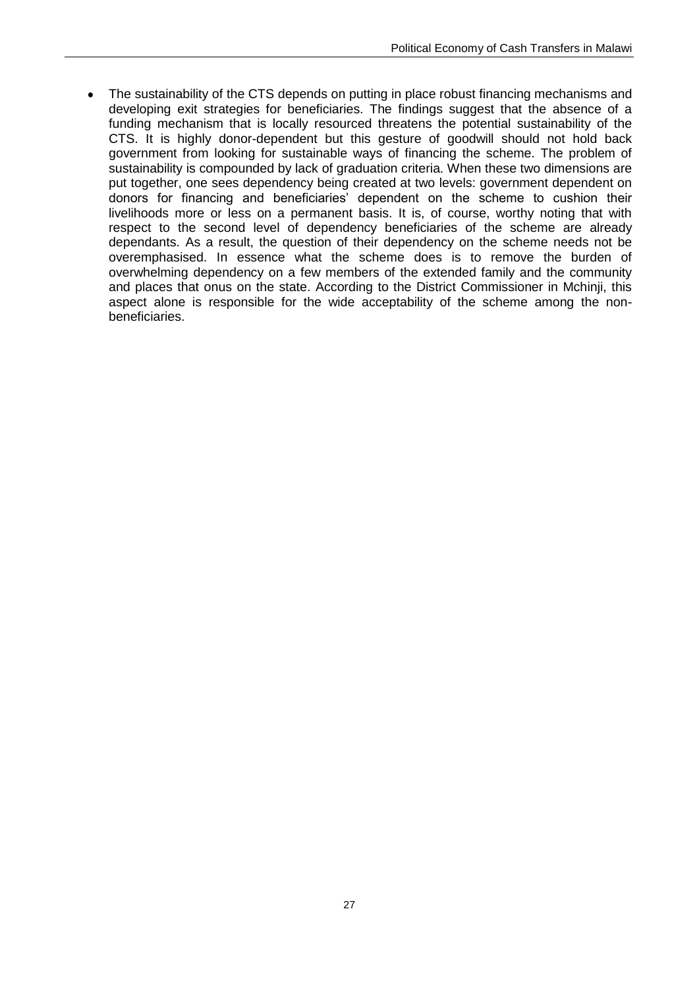The sustainability of the CTS depends on putting in place robust financing mechanisms and  $\bullet$ developing exit strategies for beneficiaries. The findings suggest that the absence of a funding mechanism that is locally resourced threatens the potential sustainability of the CTS. It is highly donor-dependent but this gesture of goodwill should not hold back government from looking for sustainable ways of financing the scheme. The problem of sustainability is compounded by lack of graduation criteria. When these two dimensions are put together, one sees dependency being created at two levels: government dependent on donors for financing and beneficiaries' dependent on the scheme to cushion their livelihoods more or less on a permanent basis. It is, of course, worthy noting that with respect to the second level of dependency beneficiaries of the scheme are already dependants. As a result, the question of their dependency on the scheme needs not be overemphasised. In essence what the scheme does is to remove the burden of overwhelming dependency on a few members of the extended family and the community and places that onus on the state. According to the District Commissioner in Mchinji, this aspect alone is responsible for the wide acceptability of the scheme among the nonbeneficiaries.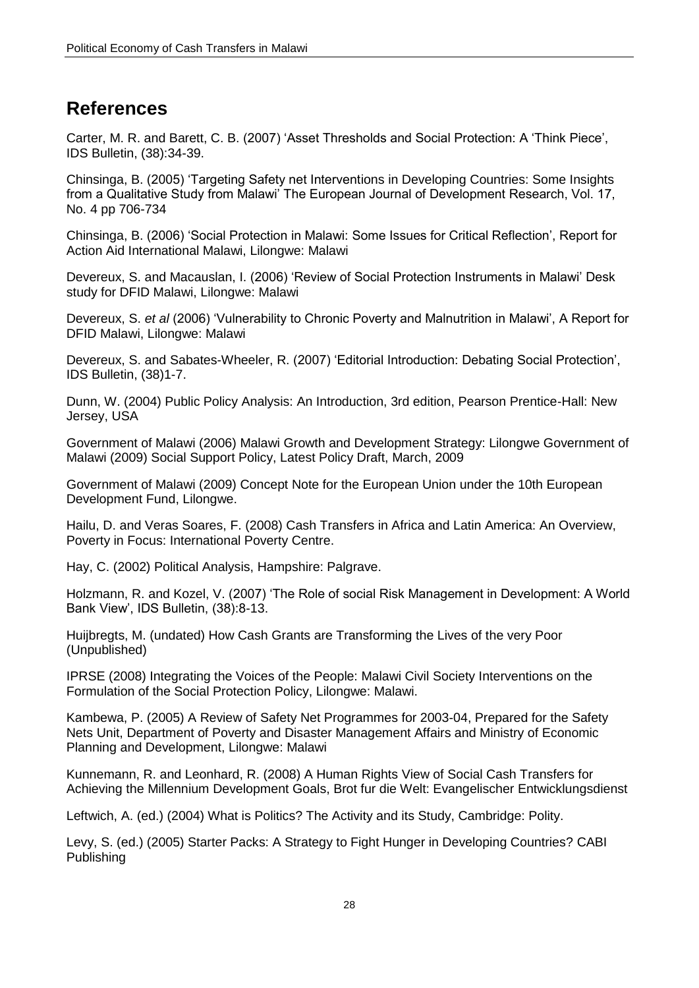## <span id="page-31-0"></span>**References**

Carter, M. R. and Barett, C. B. (2007) "Asset Thresholds and Social Protection: A "Think Piece", IDS Bulletin, (38):34-39.

Chinsinga, B. (2005) "Targeting Safety net Interventions in Developing Countries: Some Insights from a Qualitative Study from Malawi" The European Journal of Development Research, Vol. 17, No. 4 pp 706-734

Chinsinga, B. (2006) "Social Protection in Malawi: Some Issues for Critical Reflection", Report for Action Aid International Malawi, Lilongwe: Malawi

Devereux, S. and Macauslan, I. (2006) "Review of Social Protection Instruments in Malawi" Desk study for DFID Malawi, Lilongwe: Malawi

Devereux, S. *et al* (2006) "Vulnerability to Chronic Poverty and Malnutrition in Malawi", A Report for DFID Malawi, Lilongwe: Malawi

Devereux, S. and Sabates-Wheeler, R. (2007) "Editorial Introduction: Debating Social Protection", IDS Bulletin, (38)1-7.

Dunn, W. (2004) Public Policy Analysis: An Introduction, 3rd edition, Pearson Prentice-Hall: New Jersey, USA

Government of Malawi (2006) Malawi Growth and Development Strategy: Lilongwe Government of Malawi (2009) Social Support Policy, Latest Policy Draft, March, 2009

Government of Malawi (2009) Concept Note for the European Union under the 10th European Development Fund, Lilongwe.

Hailu, D. and Veras Soares, F. (2008) Cash Transfers in Africa and Latin America: An Overview, Poverty in Focus: International Poverty Centre.

Hay, C. (2002) Political Analysis, Hampshire: Palgrave.

Holzmann, R. and Kozel, V. (2007) "The Role of social Risk Management in Development: A World Bank View", IDS Bulletin, (38):8-13.

Huijbregts, M. (undated) How Cash Grants are Transforming the Lives of the very Poor (Unpublished)

IPRSE (2008) Integrating the Voices of the People: Malawi Civil Society Interventions on the Formulation of the Social Protection Policy, Lilongwe: Malawi.

Kambewa, P. (2005) A Review of Safety Net Programmes for 2003-04, Prepared for the Safety Nets Unit, Department of Poverty and Disaster Management Affairs and Ministry of Economic Planning and Development, Lilongwe: Malawi

Kunnemann, R. and Leonhard, R. (2008) A Human Rights View of Social Cash Transfers for Achieving the Millennium Development Goals, Brot fur die Welt: Evangelischer Entwicklungsdienst

Leftwich, A. (ed.) (2004) What is Politics? The Activity and its Study, Cambridge: Polity.

Levy, S. (ed.) (2005) Starter Packs: A Strategy to Fight Hunger in Developing Countries? CABI Publishing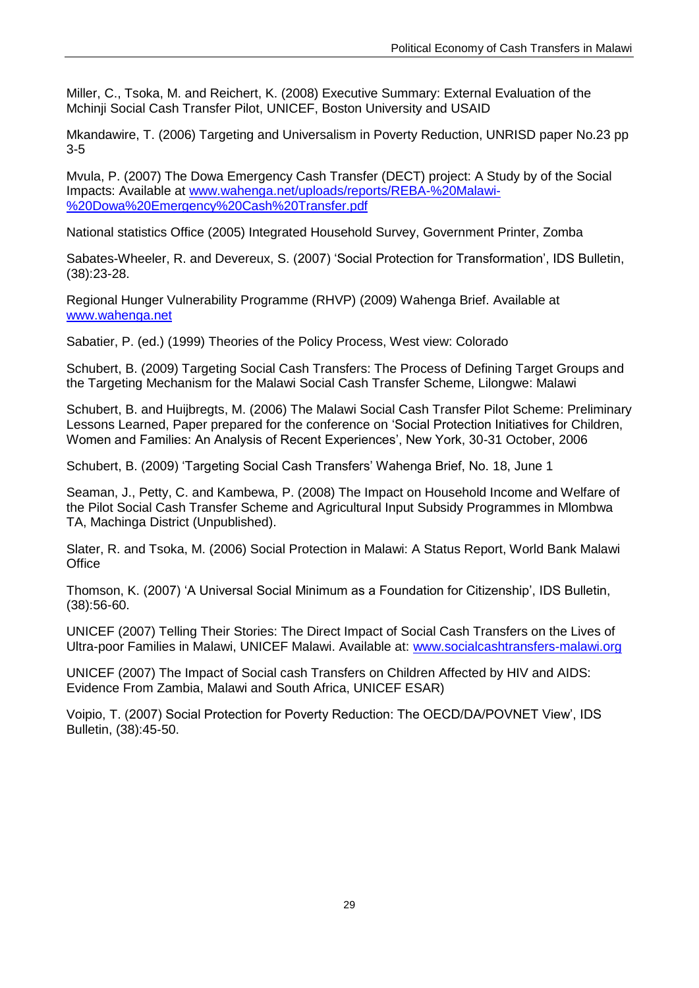Miller, C., Tsoka, M. and Reichert, K. (2008) Executive Summary: External Evaluation of the Mchinji Social Cash Transfer Pilot, UNICEF, Boston University and USAID

Mkandawire, T. (2006) Targeting and Universalism in Poverty Reduction, UNRISD paper No.23 pp 3-5

Mvula, P. (2007) The Dowa Emergency Cash Transfer (DECT) project: A Study by of the Social Impacts: Available at [www.wahenga.net/uploads/reports/REBA-%20Malawi-](http://www.wahenga.net/uploads/reports/REBA-%20Malawi-%20Dowa%20Emergency%20Cash%20Transfer.pdf) [%20Dowa%20Emergency%20Cash%20Transfer.pdf](http://www.wahenga.net/uploads/reports/REBA-%20Malawi-%20Dowa%20Emergency%20Cash%20Transfer.pdf)

National statistics Office (2005) Integrated Household Survey, Government Printer, Zomba

Sabates-Wheeler, R. and Devereux, S. (2007) "Social Protection for Transformation", IDS Bulletin, (38):23-28.

Regional Hunger Vulnerability Programme (RHVP) (2009) Wahenga Brief. Available at [www.wahenga.net](http://www.wahenga.net/)

Sabatier, P. (ed.) (1999) Theories of the Policy Process, West view: Colorado

Schubert, B. (2009) Targeting Social Cash Transfers: The Process of Defining Target Groups and the Targeting Mechanism for the Malawi Social Cash Transfer Scheme, Lilongwe: Malawi

Schubert, B. and Huijbregts, M. (2006) The Malawi Social Cash Transfer Pilot Scheme: Preliminary Lessons Learned, Paper prepared for the conference on "Social Protection Initiatives for Children, Women and Families: An Analysis of Recent Experiences", New York, 30-31 October, 2006

Schubert, B. (2009) "Targeting Social Cash Transfers" Wahenga Brief, No. 18, June 1

Seaman, J., Petty, C. and Kambewa, P. (2008) The Impact on Household Income and Welfare of the Pilot Social Cash Transfer Scheme and Agricultural Input Subsidy Programmes in Mlombwa TA, Machinga District (Unpublished).

Slater, R. and Tsoka, M. (2006) Social Protection in Malawi: A Status Report, World Bank Malawi **Office** 

Thomson, K. (2007) "A Universal Social Minimum as a Foundation for Citizenship", IDS Bulletin, (38):56-60.

UNICEF (2007) Telling Their Stories: The Direct Impact of Social Cash Transfers on the Lives of Ultra-poor Families in Malawi, UNICEF Malawi. Available at: [www.socialcashtransfers-malawi.org](http://www.socialcashtransfers-malawi.org/)

UNICEF (2007) The Impact of Social cash Transfers on Children Affected by HIV and AIDS: Evidence From Zambia, Malawi and South Africa, UNICEF ESAR)

Voipio, T. (2007) Social Protection for Poverty Reduction: The OECD/DA/POVNET View", IDS Bulletin, (38):45-50.